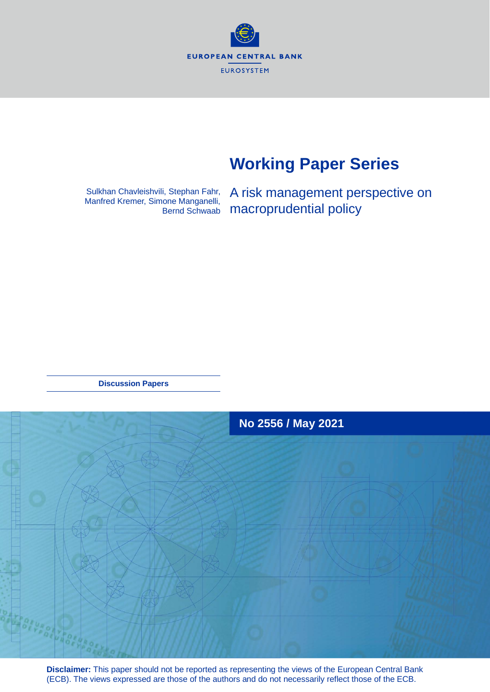**EUROPEAN CENTRAL BANK EUROSYSTEM** 

# **Working Paper Series**

Sulkhan Chavleishvili, Stephan Fahr, Manfred Kremer, Simone Manganelli, Bernd Schwaab A risk management perspective on macroprudential policy

**Discussion Papers**



**Disclaimer:** This paper should not be reported as representing the views of the European Central Bank (ECB). The views expressed are those of the authors and do not necessarily reflect those of the ECB.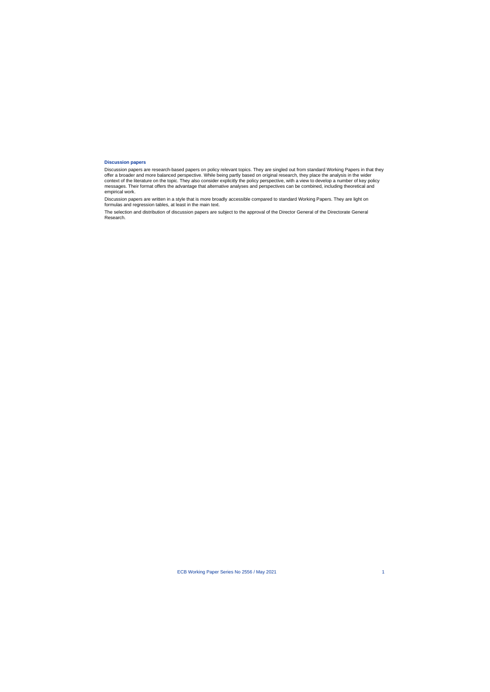#### **Discussion papers**

Discussion papers are research-based papers on policy relevant topics. They are singled out from standard Working Papers in that they offer a broader and more balanced perspective. While being partly based on original research, they place the analysis in the wider context of the literature on the topic. They also consider explicitly the policy perspective, with a view to develop a number of key policy messages. Their format offers the advantage that alternative analyses and perspectives can be combined, including theoretical and empirical work.

Discussion papers are written in a style that is more broadly accessible compared to standard Working Papers. They are light on formulas and regression tables, at least in the main text.

The selection and distribution of discussion papers are subject to the approval of the Director General of the Directorate General Research.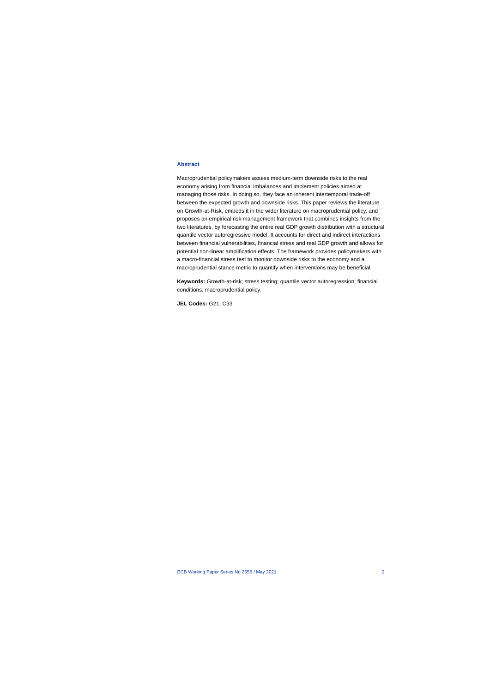#### **Abstract**

Macroprudential policymakers assess medium-term downside risks to the real economy arising from financial imbalances and implement policies aimed at managing those risks. In doing so, they face an inherent intertemporal trade-off between the expected growth and downside risks. This paper reviews the literature on Growth-at-Risk, embeds it in the wider literature on macroprudential policy, and proposes an empirical risk management framework that combines insights from the two literatures, by forecasting the entire real GDP growth distribution with a structural quantile vector autoregressive model. It accounts for direct and indirect interactions between financial vulnerabilities, financial stress and real GDP growth and allows for potential non-linear amplification effects. The framework provides policymakers with a macro-financial stress test to monitor downside risks to the economy and a macroprudential stance metric to quantify when interventions may be beneficial.

**Keywords:** Growth-at-risk; stress testing; quantile vector autoregression; financial conditions; macroprudential policy.

**JEL Codes:** G21, C33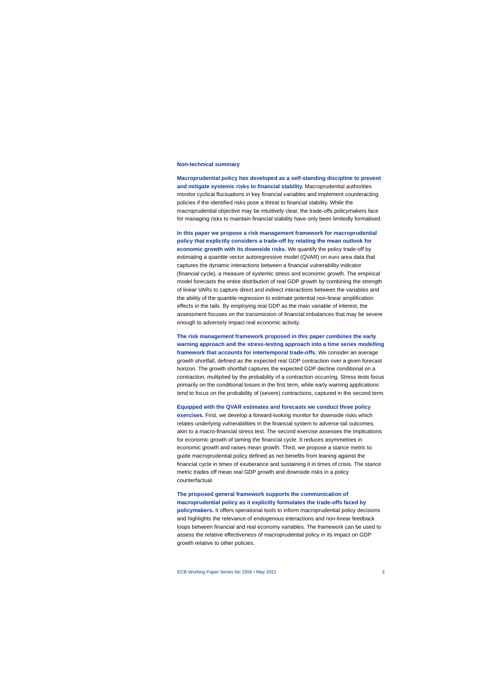#### **Non-technical summary**

**Macroprudential policy has developed as a self-standing discipline to prevent and mitigate systemic risks to financial stability.** Macroprudential authorities monitor cyclical fluctuations in key financial variables and implement counteracting policies if the identified risks pose a threat to financial stability. While the macroprudential objective may be intuitively clear, the trade-offs policymakers face for managing risks to maintain financial stability have only been limitedly formalised.

**In this paper we propose a risk management framework for macroprudential policy that explicitly considers a trade-off by relating the mean outlook for economic growth with its downside risks.** We quantify the policy trade-off by estimating a quantile vector autoregressive model (QVAR) on euro area data that captures the dynamic interactions between a financial vulnerability indicator (financial cycle), a measure of systemic stress and economic growth. The empirical model forecasts the entire distribution of real GDP growth by combining the strength of linear VARs to capture direct and indirect interactions between the variables and the ability of the quantile regression to estimate potential non-linear amplification effects in the tails. By employing real GDP as the main variable of interest, the assessment focuses on the transmission of financial imbalances that may be severe enough to adversely impact real economic activity.

**The risk management framework proposed in this paper combines the early warning approach and the stress-testing approach into a time series modelling framework that accounts for intertemporal trade-offs.** We consider an average growth shortfall, defined as the expected real GDP contraction over a given forecast horizon. The growth shortfall captures the expected GDP decline conditional on a contraction, multiplied by the probability of a contraction occurring. Stress tests focus primarily on the conditional losses in the first term, while early warning applications tend to focus on the probability of (severe) contractions, captured in the second term.

#### **Equipped with the QVAR estimates and forecasts we conduct three policy**

**exercises.** First, we develop a forward-looking monitor for downside risks which relates underlying vulnerabilities in the financial system to adverse tail outcomes, akin to a macro-financial stress test. The second exercise assesses the implications for economic growth of taming the financial cycle. It reduces asymmetries in economic growth and raises mean growth. Third, we propose a stance metric to guide macroprudential policy defined as net benefits from leaning against the financial cycle in times of exuberance and sustaining it in times of crisis. The stance metric trades off mean real GDP growth and downside risks in a policy counterfactual.

## **The proposed general framework supports the communication of macroprudential policy as it explicitly formulates the trade-offs faced by**

**policymakers.** It offers operational tools to inform macroprudential policy decisions and highlights the relevance of endogenous interactions and non-linear feedback loops between financial and real economy variables. The framework can be used to assess the relative effectiveness of macroprudential policy in its impact on GDP growth relative to other policies.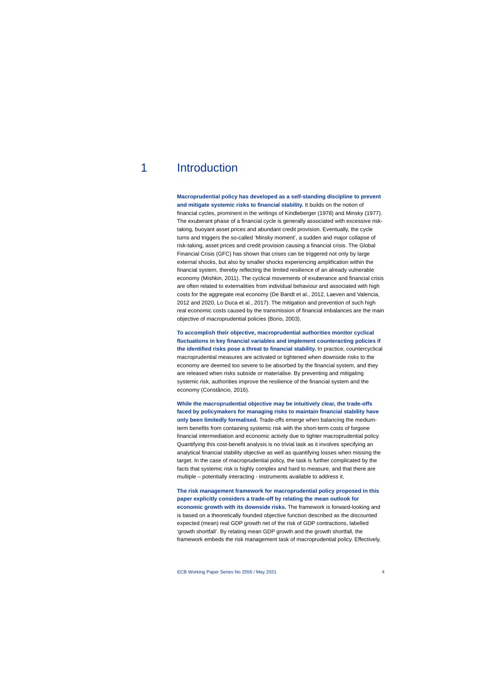# 1 Introduction

**Macroprudential policy has developed as a self-standing discipline to prevent and mitigate systemic risks to financial stability.** It builds on the notion of financial cycles, prominent in the writings of Kindleberger (1978) and Minsky (1977). The exuberant phase of a financial cycle is generally associated with excessive risktaking, buoyant asset prices and abundant credit provision. Eventually, the cycle turns and triggers the so-called 'Minsky moment', a sudden and major collapse of risk-taking, asset prices and credit provision causing a financial crisis. The Global Financial Crisis (GFC) has shown that crises can be triggered not only by large external shocks, but also by smaller shocks experiencing amplification within the financial system, thereby reflecting the limited resilience of an already vulnerable economy (Mishkin, 2011). The cyclical movements of exuberance and financial crisis are often related to externalities from individual behaviour and associated with high costs for the aggregate real economy (De Bandt et al., 2012, Laeven and Valencia, 2012 and 2020, Lo Duca et al., 2017). The mitigation and prevention of such high real economic costs caused by the transmission of financial imbalances are the main objective of macroprudential policies (Borio, 2003).

**To accomplish their objective, macroprudential authorities monitor cyclical fluctuations in key financial variables and implement counteracting policies if the identified risks pose a threat to financial stability.** In practice, countercyclical macroprudential measures are activated or tightened when downside risks to the economy are deemed too severe to be absorbed by the financial system, and they are released when risks subside or materialise. By preventing and mitigating systemic risk, authorities improve the resilience of the financial system and the economy (Constâncio, 2016).

**While the macroprudential objective may be intuitively clear, the trade-offs faced by policymakers for managing risks to maintain financial stability have only been limitedly formalised.** Trade-offs emerge when balancing the mediumterm benefits from containing systemic risk with the short-term costs of forgone financial intermediation and economic activity due to tighter macroprudential policy. Quantifying this cost-benefit analysis is no trivial task as it involves specifying an analytical financial stability objective as well as quantifying losses when missing the target. In the case of macroprudential policy, the task is further complicated by the facts that systemic risk is highly complex and hard to measure, and that there are multiple – potentially interacting - instruments available to address it.

**The risk management framework for macroprudential policy proposed in this paper explicitly considers a trade-off by relating the mean outlook for economic growth with its downside risks.** The framework is forward-looking and is based on a theoretically founded objective function described as the discounted expected (mean) real GDP growth net of the risk of GDP contractions, labelled 'growth shortfall'. By relating mean GDP growth and the growth shortfall, the framework embeds the risk management task of macroprudential policy. Effectively,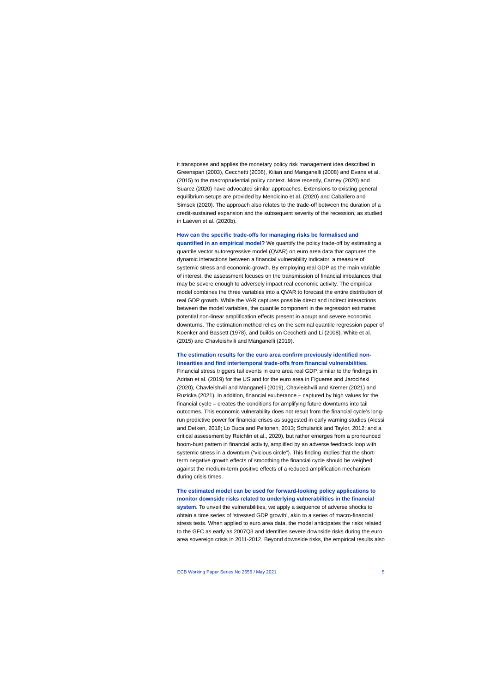it transposes and applies the monetary policy risk management idea described in Greenspan (2003), Cecchetti (2006), Kilian and Manganelli (2008) and Evans et al. (2015) to the macroprudential policy context. More recently, Carney (2020) and Suarez (2020) have advocated similar approaches. Extensions to existing general equilibrium setups are provided by Mendicino et al. (2020) and Caballero and Simsek (2020). The approach also relates to the trade-off between the duration of a credit-sustained expansion and the subsequent severity of the recession, as studied in Laeven et al. (2020b).

#### **How can the specific trade-offs for managing risks be formalised and**

**quantified in an empirical model?** We quantify the policy trade-off by estimating a quantile vector autoregressive model (QVAR) on euro area data that captures the dynamic interactions between a financial vulnerability indicator, a measure of systemic stress and economic growth. By employing real GDP as the main variable of interest, the assessment focuses on the transmission of financial imbalances that may be severe enough to adversely impact real economic activity. The empirical model combines the three variables into a QVAR to forecast the entire distribution of real GDP growth. While the VAR captures possible direct and indirect interactions between the model variables, the quantile component in the regression estimates potential non-linear amplification effects present in abrupt and severe economic downturns. The estimation method relies on the seminal quantile regression paper of Koenker and Bassett (1978), and builds on Cecchetti and Li (2008), White et al. (2015) and Chavleishvili and Manganelli (2019).

### **The estimation results for the euro area confirm previously identified nonlinearities and find intertemporal trade-offs from financial vulnerabilities.**

Financial stress triggers tail events in euro area real GDP, similar to the findings in Adrian et al. (2019) for the US and for the euro area in Figueres and Jarociński (2020), Chavleishvili and Manganelli (2019), Chavleishvili and Kremer (2021) and Ruzicka (2021). In addition, financial exuberance – captured by high values for the financial cycle – creates the conditions for amplifying future downturns into tail outcomes. This economic vulnerability does not result from the financial cycle's longrun predictive power for financial crises as suggested in early warning studies (Alessi and Detken, 2018; Lo Duca and Peltonen, 2013; Schularick and Taylor, 2012; and a critical assessment by Reichlin et al., 2020), but rather emerges from a pronounced boom-bust pattern in financial activity, amplified by an adverse feedback loop with systemic stress in a downturn ("vicious circle"). This finding implies that the shortterm negative growth effects of smoothing the financial cycle should be weighed against the medium-term positive effects of a reduced amplification mechanism during crisis times.

**The estimated model can be used for forward-looking policy applications to monitor downside risks related to underlying vulnerabilities in the financial system.** To unveil the vulnerabilities, we apply a sequence of adverse shocks to obtain a time series of 'stressed GDP growth', akin to a series of macro-financial stress tests. When applied to euro area data, the model anticipates the risks related to the GFC as early as 2007Q3 and identifies severe downside risks during the euro area sovereign crisis in 2011-2012. Beyond downside risks, the empirical results also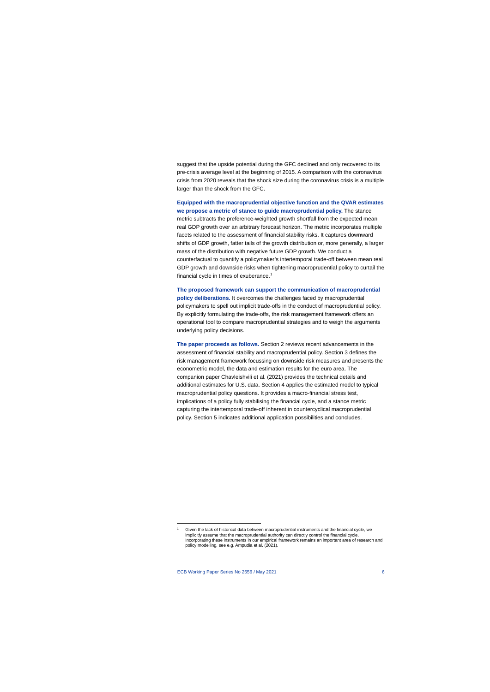suggest that the upside potential during the GFC declined and only recovered to its pre-crisis average level at the beginning of 2015. A comparison with the coronavirus crisis from 2020 reveals that the shock size during the coronavirus crisis is a multiple larger than the shock from the GFC.

**Equipped with the macroprudential objective function and the QVAR estimates we propose a metric of stance to guide macroprudential policy.** The stance metric subtracts the preference-weighted growth shortfall from the expected mean real GDP growth over an arbitrary forecast horizon. The metric incorporates multiple facets related to the assessment of financial stability risks. It captures downward shifts of GDP growth, fatter tails of the growth distribution or, more generally, a larger mass of the distribution with negative future GDP growth. We conduct a counterfactual to quantify a policymaker's intertemporal trade-off between mean real GDP growth and downside risks when tightening macroprudential policy to curtail the financial cycle in times of exuberance. [1](#page-6-0)

**The proposed framework can support the communication of macroprudential policy deliberations.** It overcomes the challenges faced by macroprudential policymakers to spell out implicit trade-offs in the conduct of macroprudential policy. By explicitly formulating the trade-offs, the risk management framework offers an operational tool to compare macroprudential strategies and to weigh the arguments underlying policy decisions.

**The paper proceeds as follows.** Section 2 reviews recent advancements in the assessment of financial stability and macroprudential policy. Section 3 defines the risk management framework focussing on downside risk measures and presents the econometric model, the data and estimation results for the euro area. The companion paper Chavleishvili et al. (2021) provides the technical details and additional estimates for U.S. data. Section 4 applies the estimated model to typical macroprudential policy questions. It provides a macro-financial stress test, implications of a policy fully stabilising the financial cycle, and a stance metric capturing the intertemporal trade-off inherent in countercyclical macroprudential policy. Section 5 indicates additional application possibilities and concludes.

<span id="page-6-0"></span>Given the lack of historical data between macroprudential instruments and the financial cycle, we implicitly assume that the macroprudential authority can directly control the financial cycle. Incorporating these instruments in our empirical framework remains an important area of research and policy modelling, see e.g. Ampudia et al. (2021).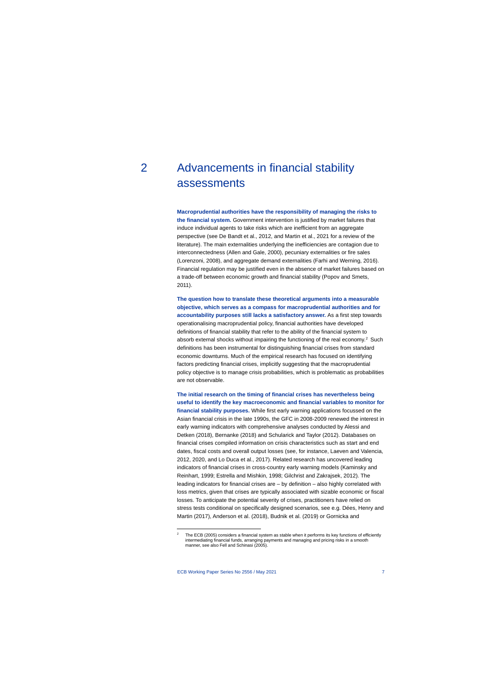# 2 Advancements in financial stability assessments

**Macroprudential authorities have the responsibility of managing the risks to the financial system.** Government intervention is justified by market failures that induce individual agents to take risks which are inefficient from an aggregate perspective (see De Bandt et al., 2012, and Martin et al., 2021 for a review of the literature). The main externalities underlying the inefficiencies are contagion due to interconnectedness (Allen and Gale, 2000), pecuniary externalities or fire sales (Lorenzoni, 2008), and aggregate demand externalities (Farhi and Werning, 2016). Financial regulation may be justified even in the absence of market failures based on a trade-off between economic growth and financial stability (Popov and Smets, 2011).

**The question how to translate these theoretical arguments into a measurable objective, which serves as a compass for macroprudential authorities and for accountability purposes still lacks a satisfactory answer.** As a first step towards operationalising macroprudential policy, financial authorities have developed definitions of financial stability that refer to the ability of the financial system to absorb external shocks without impairing the functioning of the real economy. [2](#page-7-0) Such definitions has been instrumental for distinguishing financial crises from standard economic downturns. Much of the empirical research has focused on identifying factors predicting financial crises, implicitly suggesting that the macroprudential policy objective is to manage crisis probabilities, which is problematic as probabilities are not observable.

**The initial research on the timing of financial crises has nevertheless being useful to identify the key macroeconomic and financial variables to monitor for financial stability purposes.** While first early warning applications focussed on the Asian financial crisis in the late 1990s, the GFC in 2008-2009 renewed the interest in early warning indicators with comprehensive analyses conducted by Alessi and Detken (2018), Bernanke (2018) and Schularick and Taylor (2012). Databases on financial crises compiled information on crisis characteristics such as start and end dates, fiscal costs and overall output losses (see, for instance, Laeven and Valencia, 2012, 2020, and Lo Duca et al., 2017). Related research has uncovered leading indicators of financial crises in cross-country early warning models (Kaminsky and Reinhart, 1999; Estrella and Mishkin, 1998; Gilchrist and Zakrajsek, 2012). The leading indicators for financial crises are – by definition – also highly correlated with loss metrics, given that crises are typically associated with sizable economic or fiscal losses. To anticipate the potential severity of crises, practitioners have relied on stress tests conditional on specifically designed scenarios, see e.g. Dées, Henry and Martin (2017), Anderson et al. (2018), Budnik et al. (2019) or Gornicka and

<span id="page-7-0"></span><sup>&</sup>lt;sup>2</sup> The ECB (2005) considers a financial system as stable when it performs its key functions of efficiently intermediating financial funds, arranging payments and managing and pricing risks in a smooth manner, see also Fell and Schinasi (2005).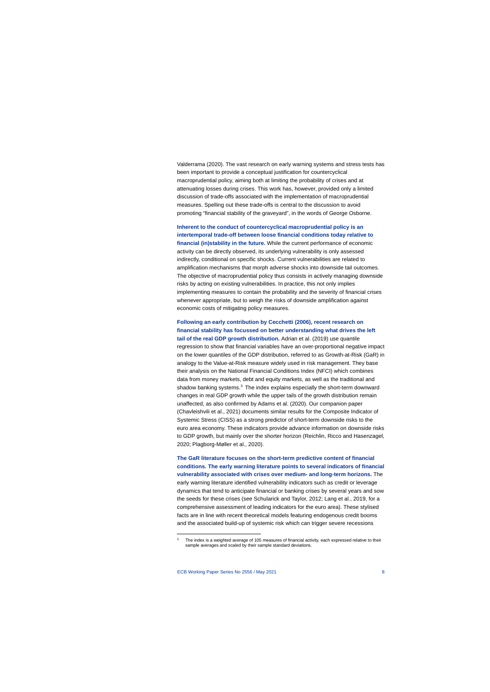Valderrama (2020). The vast research on early warning systems and stress tests has been important to provide a conceptual justification for countercyclical macroprudential policy, aiming both at limiting the probability of crises and at attenuating losses during crises. This work has, however, provided only a limited discussion of trade-offs associated with the implementation of macroprudential measures. Spelling out these trade-offs is central to the discussion to avoid promoting "financial stability of the graveyard", in the words of George Osborne.

**Inherent to the conduct of countercyclical macroprudential policy is an intertemporal trade-off between loose financial conditions today relative to financial (in)stability in the future.** While the current performance of economic activity can be directly observed, its underlying vulnerability is only assessed indirectly, conditional on specific shocks. Current vulnerabilities are related to amplification mechanisms that morph adverse shocks into downside tail outcomes. The objective of macroprudential policy thus consists in actively managing downside risks by acting on existing vulnerabilities. In practice, this not only implies implementing measures to contain the probability and the severity of financial crises whenever appropriate, but to weigh the risks of downside amplification against economic costs of mitigating policy measures.

**Following an early contribution by Cecchetti (2006), recent research on financial stability has focussed on better understanding what drives the left tail of the real GDP growth distribution.** Adrian et al. (2019) use quantile regression to show that financial variables have an over-proportional negative impact on the lower quantiles of the GDP distribution, referred to as Growth-at-Risk (GaR) in analogy to the Value-at-Risk measure widely used in risk management. They base their analysis on the National Financial Conditions Index (NFCI) which combines data from money markets, debt and equity markets, as well as the traditional and shadow banking systems.<sup>3</sup> The index explains especially the short-term downward changes in real GDP growth while the upper tails of the growth distribution remain unaffected, as also confirmed by Adams et al. (2020). Our companion paper (Chavleishvili et al., 2021) documents similar results for the Composite Indicator of Systemic Stress (CISS) as a strong predictor of short-term downside risks to the euro area economy. These indicators provide advance information on downside risks to GDP growth, but mainly over the shorter horizon (Reichlin, Ricco and Hasenzagel, 2020; Plagborg-Møller et al., 2020).

**The GaR literature focuses on the short-term predictive content of financial conditions. The early warning literature points to several indicators of financial vulnerability associated with crises over medium- and long-term horizons.** The early warning literature identified vulnerability indicators such as credit or leverage dynamics that tend to anticipate financial or banking crises by several years and sow the seeds for these crises (see Schularick and Taylor, 2012; Lang et al., 2019, for a comprehensive assessment of leading indicators for the euro area). These stylised facts are in line with recent theoretical models featuring endogenous credit booms and the associated build-up of systemic risk which can trigger severe recessions

<span id="page-8-0"></span>The index is a weighted average of 105 measures of financial activity, each expressed relative to their sample averages and scaled by their sample standard deviations.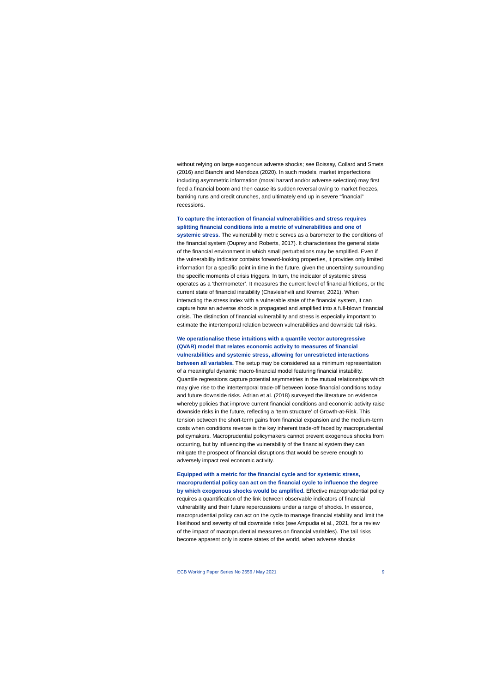without relying on large exogenous adverse shocks; see Boissay, Collard and Smets (2016) and Bianchi and Mendoza (2020). In such models, market imperfections including asymmetric information (moral hazard and/or adverse selection) may first feed a financial boom and then cause its sudden reversal owing to market freezes, banking runs and credit crunches, and ultimately end up in severe "financial" recessions.

## **To capture the interaction of financial vulnerabilities and stress requires splitting financial conditions into a metric of vulnerabilities and one of**

**systemic stress.** The vulnerability metric serves as a barometer to the conditions of the financial system (Duprey and Roberts, 2017). It characterises the general state of the financial environment in which small perturbations may be amplified. Even if the vulnerability indicator contains forward-looking properties, it provides only limited information for a specific point in time in the future, given the uncertainty surrounding the specific moments of crisis triggers. In turn, the indicator of systemic stress operates as a 'thermometer'. It measures the current level of financial frictions, or the current state of financial instability (Chavleishvili and Kremer, 2021). When interacting the stress index with a vulnerable state of the financial system, it can capture how an adverse shock is propagated and amplified into a full-blown financial crisis. The distinction of financial vulnerability and stress is especially important to estimate the intertemporal relation between vulnerabilities and downside tail risks.

### **We operationalise these intuitions with a quantile vector autoregressive (QVAR) model that relates economic activity to measures of financial vulnerabilities and systemic stress, allowing for unrestricted interactions**

**between all variables.** The setup may be considered as a minimum representation of a meaningful dynamic macro-financial model featuring financial instability. Quantile regressions capture potential asymmetries in the mutual relationships which may give rise to the intertemporal trade-off between loose financial conditions today and future downside risks. Adrian et al. (2018) surveyed the literature on evidence whereby policies that improve current financial conditions and economic activity raise downside risks in the future, reflecting a 'term structure' of Growth-at-Risk. This tension between the short-term gains from financial expansion and the medium-term costs when conditions reverse is the key inherent trade-off faced by macroprudential policymakers. Macroprudential policymakers cannot prevent exogenous shocks from occurring, but by influencing the vulnerability of the financial system they can mitigate the prospect of financial disruptions that would be severe enough to adversely impact real economic activity.

## **Equipped with a metric for the financial cycle and for systemic stress, macroprudential policy can act on the financial cycle to influence the degree by which exogenous shocks would be amplified.** Effective macroprudential policy requires a quantification of the link between observable indicators of financial vulnerability and their future repercussions under a range of shocks. In essence, macroprudential policy can act on the cycle to manage financial stability and limit the likelihood and severity of tail downside risks (see Ampudia et al., 2021, for a review of the impact of macroprudential measures on financial variables). The tail risks become apparent only in some states of the world, when adverse shocks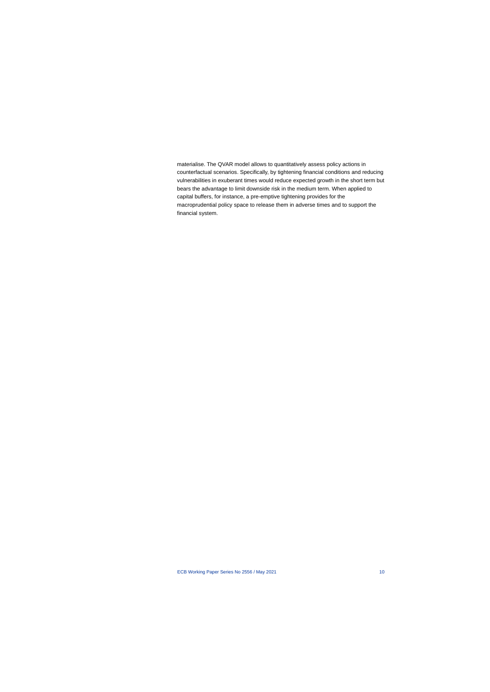materialise. The QVAR model allows to quantitatively assess policy actions in counterfactual scenarios. Specifically, by tightening financial conditions and reducing vulnerabilities in exuberant times would reduce expected growth in the short term but bears the advantage to limit downside risk in the medium term. When applied to capital buffers, for instance, a pre-emptive tightening provides for the macroprudential policy space to release them in adverse times and to support the financial system.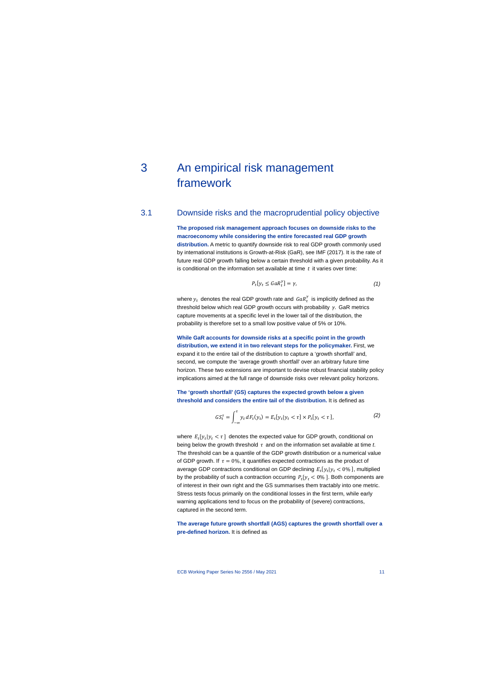# 3 An empirical risk management framework

# 3.1 Downside risks and the macroprudential policy objective

**The proposed risk management approach focuses on downside risks to the macroeconomy while considering the entire forecasted real GDP growth distribution.** A metric to quantify downside risk to real GDP growth commonly used by international institutions is Growth-at-Risk (GaR), see IMF (2017). It is the rate of future real GDP growth falling below a certain threshold with a given probability. As it is conditional on the information set available at time  $t$  it varies over time:

$$
P_t[y_t \leq GaR_t^{\gamma}] = \gamma,\tag{1}
$$

where  $y_t$  denotes the real GDP growth rate and  $\mathit{GaR}_t^{\gamma}$  is implicitly defined as the threshold below which real GDP growth occurs with probability  $\gamma$ . GaR metrics capture movements at a specific level in the lower tail of the distribution, the probability is therefore set to a small low positive value of 5% or 10%.

**While GaR accounts for downside risks at a specific point in the growth distribution, we extend it in two relevant steps for the policymaker.** First, we expand it to the entire tail of the distribution to capture a 'growth shortfall' and, second, we compute the 'average growth shortfall' over an arbitrary future time horizon. These two extensions are important to devise robust financial stability policy implications aimed at the full range of downside risks over relevant policy horizons.

**The 'growth shortfall' (GS) captures the expected growth below a given threshold and considers the entire tail of the distribution.** It is defined as

$$
GS_t^{\tau} = \int_{-\infty}^{\tau} y_t dF_t(y_t) = E_t[y_t | y_t < \tau] \times P_t[y_t < \tau],\tag{2}
$$

where  $E_t[y_t | y_t < \tau]$  denotes the expected value for GDP growth, conditional on being below the growth threshold  $\tau$  and on the information set available at time *t*. The threshold can be a quantile of the GDP growth distribution or a numerical value of GDP growth. If  $\tau = 0\%$ , it quantifies expected contractions as the product of average GDP contractions conditional on GDP declining  $E_t[y_t|y_t] < 0\%$ ], multiplied by the probability of such a contraction occurring  $P_t[y_t < 0\%]$ . Both components are of interest in their own right and the GS summarises them tractably into one metric. Stress tests focus primarily on the conditional losses in the first term, while early warning applications tend to focus on the probability of (severe) contractions, captured in the second term.

**The average future growth shortfall (AGS) captures the growth shortfall over a pre-defined horizon.** It is defined as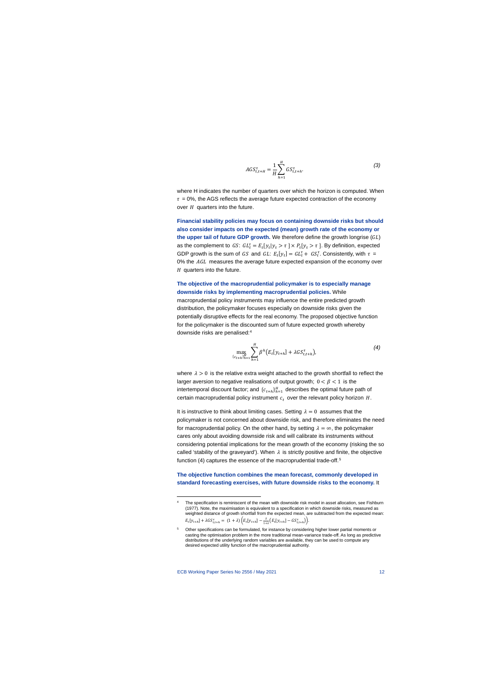$$
AGS_{t,t+H}^{\tau} = \frac{1}{H} \sum_{h=1}^{H} GS_{t,t+h}^{\tau}.
$$
 (3)

where H indicates the number of quarters over which the horizon is computed. When  $\tau$  = 0%, the AGS reflects the average future expected contraction of the economy over  $H$  quarters into the future.

**Financial stability policies may focus on containing downside risks but should also consider impacts on the expected (mean) growth rate of the economy or** the upper tail of future GDP growth. We therefore define the growth longrise  $(GL)$ as the complement to GS:  $GL_t^{\tau} = E_t[y_t | y_t > \tau] \times P_t[y_t > \tau]$ . By definition, expected GDP growth is the sum of GS and GL:  $E_t[y_t] = GL_t^{\tau} + GS_t^{\tau}$ . Consistently, with  $\tau =$ 0% the AGL measures the average future expected expansion of the economy over  $H$  quarters into the future.

### **The objective of the macroprudential policymaker is to especially manage downside risks by implementing macroprudential policies.** While

macroprudential policy instruments may influence the entire predicted growth distribution, the policymaker focuses especially on downside risks given the potentially disruptive effects for the real economy. The proposed objective function for the policymaker is the discounted sum of future expected growth whereby downside risks are penalised:[4](#page-12-0)

$$
\max_{\{c_{t+h}\}_{h=1}^H} \sum_{h=1}^H \beta^h \big( E_t[y_{t+h}] + \lambda G S_{t,t+h}^{\tau} \big), \tag{4}
$$

where  $\lambda > 0$  is the relative extra weight attached to the growth shortfall to reflect the larger aversion to negative realisations of output growth;  $0 < \beta < 1$  is the intertemporal discount factor; and  ${c_{t+h}}_{h=1}^H$  describes the optimal future path of certain macroprudential policy instrument  $c_t$  over the relevant policy horizon  $H$ .

It is instructive to think about limiting cases. Setting  $\lambda = 0$  assumes that the policymaker is not concerned about downside risk, and therefore eliminates the need for macroprudential policy. On the other hand, by setting  $\lambda = \infty$ , the policymaker cares only about avoiding downside risk and will calibrate its instruments without considering potential implications for the mean growth of the economy (risking the so called 'stability of the graveyard'). When  $\lambda$  is strictly positive and finite, the objective function (4) captures the essence of the macroprudential trade-off.<sup>[5](#page-12-1)</sup>

### **The objective function combines the mean forecast, commonly developed in standard forecasting exercises, with future downside risks to the economy.** It

The specification is reminiscent of the mean with downside risk model in asset allocation, see Fishburn (1977). Note, the maximisation is equivalent to a specification in which downside risks, measured as weighted distance of growth shortfall from the expected mean, are subtracted from the expected mean:  $E_t[y_{t+h}] + \lambda G S_{t,t+h}^{\tau} = (1 + \lambda) \Big( E_t[y_{t+h}] - \frac{\lambda}{1 + \lambda} \Big( E_t[y_{t+h}] - G S_{t,t+h}^{\tau} \Big) \Big).$ 

<span id="page-12-1"></span><span id="page-12-0"></span>Other specifications can be formulated, for instance by considering higher lower partial moments or casting the optimisation problem in the more traditional mean-variance trade-off. As long as predictive distributions of the underlying random variables are available, they can be used to compute any desired expected utility function of the macroprudential authority.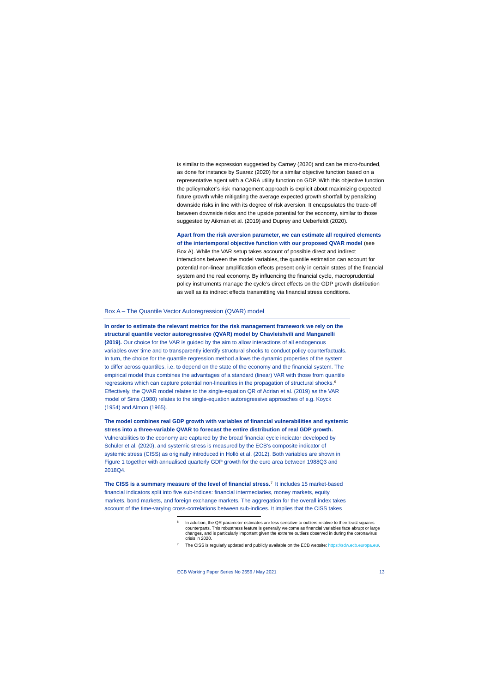is similar to the expression suggested by Carney (2020) and can be micro-founded, as done for instance by Suarez (2020) for a similar objective function based on a representative agent with a CARA utility function on GDP. With this objective function the policymaker's risk management approach is explicit about maximizing expected future growth while mitigating the average expected growth shortfall by penalizing downside risks in line with its degree of risk aversion. It encapsulates the trade-off between downside risks and the upside potential for the economy, similar to those suggested by Aikman et al. (2019) and Duprey and Ueberfeldt (2020).

**Apart from the risk aversion parameter, we can estimate all required elements of the intertemporal objective function with our proposed QVAR model** (see Box A). While the VAR setup takes account of possible direct and indirect interactions between the model variables, the quantile estimation can account for potential non-linear amplification effects present only in certain states of the financial system and the real economy. By influencing the financial cycle, macroprudential policy instruments manage the cycle's direct effects on the GDP growth distribution as well as its indirect effects transmitting via financial stress conditions.

#### Box A – The Quantile Vector Autoregression (QVAR) model

**In order to estimate the relevant metrics for the risk management framework we rely on the structural quantile vector autoregressive (QVAR) model by Chavleishvili and Manganelli (2019).** Our choice for the VAR is guided by the aim to allow interactions of all endogenous variables over time and to transparently identify structural shocks to conduct policy counterfactuals. In turn, the choice for the quantile regression method allows the dynamic properties of the system to differ across quantiles, i.e. to depend on the state of the economy and the financial system. The empirical model thus combines the advantages of a standard (linear) VAR with those from quantile regressions which can capture potential non-linearities in the propagation of structural shocks.<sup>[6](#page-13-0)</sup> Effectively, the QVAR model relates to the single-equation QR of Adrian et al. (2019) as the VAR model of Sims (1980) relates to the single-equation autoregressive approaches of e.g. Koyck (1954) and Almon (1965).

**The model combines real GDP growth with variables of financial vulnerabilities and systemic stress into a three-variable QVAR to forecast the entire distribution of real GDP growth.** Vulnerabilities to the economy are captured by the broad financial cycle indicator developed by Schüler et al. (2020), and systemic stress is measured by the ECB's composite indicator of systemic stress (CISS) as originally introduced in Holló et al. (2012). Both variables are shown in [Figure 1](#page-14-0) together with annualised quarterly GDP growth for the euro area between 1988Q3 and 2018Q4.

<span id="page-13-1"></span><span id="page-13-0"></span>**The CISS is a summary measure of the level of financial stress.**[7](#page-13-1) It includes 15 market-based financial indicators split into five sub-indices: financial intermediaries, money markets, equity markets, bond markets, and foreign exchange markets. The aggregation for the overall index takes account of the time-varying cross-correlations between sub-indices. It implies that the CISS takes

In addition, the QR parameter estimates are less sensitive to outliers relative to their least squares counterparts. This robustness feature is generally welcome as financial variables face abrupt or large changes, and is particularly important given the extreme outliers observed in during the coronavirus crisis in 2020.

<sup>7</sup> The CISS is regularly updated and publicly available on the ECB website: [https://sdw.ecb.europa.eu/.](https://sdw.ecb.europa.eu/)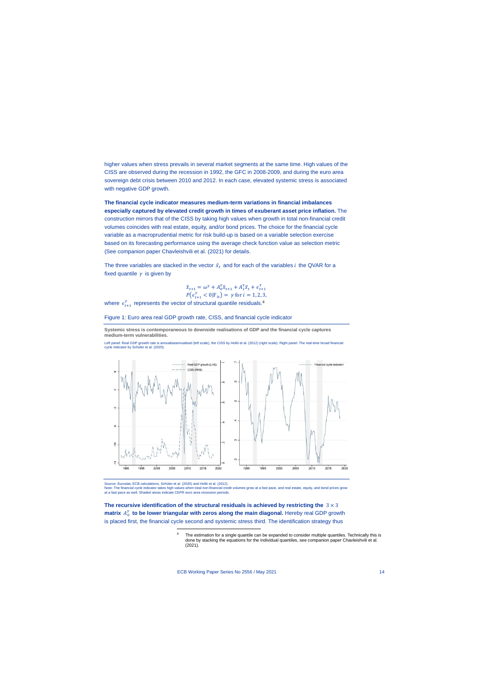higher values when stress prevails in several market segments at the same time. High values of the CISS are observed during the recession in 1992, the GFC in 2008-2009, and during the euro area sovereign debt crisis between 2010 and 2012. In each case, elevated systemic stress is associated with negative GDP growth.

**The financial cycle indicator measures medium-term variations in financial imbalances especially captured by elevated credit growth in times of exuberant asset price inflation.** The construction mirrors that of the CISS by taking high values when growth in total non-financial credit volumes coincides with real estate, equity, and/or bond prices. The choice for the financial cycle variable as a macroprudential metric for risk build-up is based on a variable selection exercise based on its forecasting performance using the average check function value as selection metric (See companion paper Chavleishvili et al. (2021) for details.

The three variables are stacked in the vector  $\tilde{x}_t$  and for each of the variables *i* the QVAR for a fixed quantile  $\gamma$  is given by

$$
\tilde{x}_{t+1} = \omega^{\gamma} + A_0^{\gamma} \tilde{x}_{t+1} + A_1^{\gamma} \tilde{x}_t + \epsilon_{t+1}^{\gamma}
$$
  
 
$$
P(\epsilon_{t+1}^{\gamma} < 0 | \mathbf{F}_{it}) = \gamma \text{ for } i = 1, 2, 3,
$$

where  $\epsilon_{t+1}^{\gamma}$  represents the vector of structural quantile residuals.<sup>[8](#page-14-1)</sup>

Figure 1: Euro area real GDP growth rate, CISS, and financial cycle indicator

**Systemic stress is contemporaneous to downside realisations of GDP and the financial cycle captures medium-term vulnerabilities.**

Left panel: Real GDP growth rate is annualiseannualised (left scale), the CISS by Holló et al. (2012) (right scale). Right panel: The real-time broad financial cycle indicator by Schüler et al. (2020).

<span id="page-14-0"></span>

Source: Eurostat, ECB calculations, Schüler et al. (2020) and Holló et al. (2012).

Note: The financial cycle indicator takes high values when total non-financial credit volumes grow at a fast pace, and real estate, equity, and bond prices grow at a fast pace as well. Shaded areas indicate CEPR euro area recession periods.

<span id="page-14-1"></span>The recursive identification of the structural residuals is achieved by restricting the  $3 \times 3$ **matrix**  $A_0^{\gamma}$  to be lower triangular with zeros along the main diagonal. Hereby real GDP growth is placed first, the financial cycle second and systemic stress third. The identification strategy thus

> The estimation for a single quantile can be expanded to consider multiple quantiles. Technically this is done by stacking the equations for the individual quantiles, see companion paper Chavleishvili et al. (2021).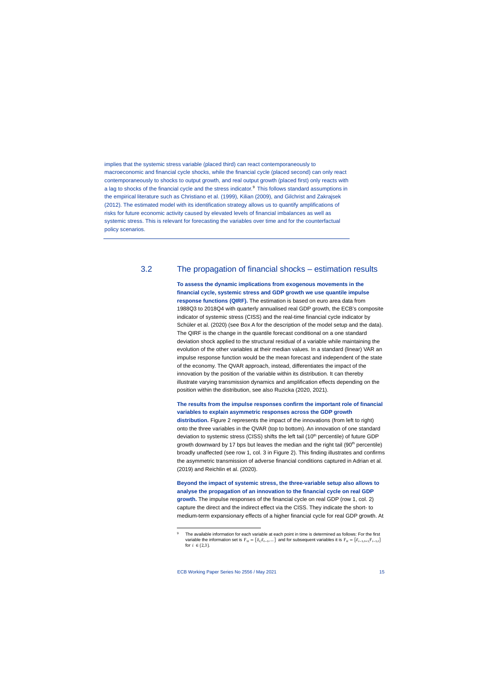implies that the systemic stress variable (placed third) can react contemporaneously to macroeconomic and financial cycle shocks, while the financial cycle (placed second) can only react contemporaneously to shocks to output growth, and real output growth (placed first) only reacts with a lag to shocks of the financial cycle and the stress indicator.<sup>[9](#page-15-0)</sup> This follows standard assumptions in the empirical literature such as Christiano et al. (1999), Kilian (2009), and Gilchrist and Zakrajsek (2012). The estimated model with its identification strategy allows us to quantify amplifications of risks for future economic activity caused by elevated levels of financial imbalances as well as systemic stress. This is relevant for forecasting the variables over time and for the counterfactual policy scenarios.

# 3.2 The propagation of financial shocks – estimation results

**To assess the dynamic implications from exogenous movements in the financial cycle, systemic stress and GDP growth we use quantile impulse response functions (QIRF).** The estimation is based on euro area data from 1988Q3 to 2018Q4 with quarterly annualised real GDP growth, the ECB's composite indicator of systemic stress (CISS) and the real-time financial cycle indicator by Schüler et al. (2020) (see Box A for the description of the model setup and the data). The QIRF is the change in the quantile forecast conditional on a one standard deviation shock applied to the structural residual of a variable while maintaining the evolution of the other variables at their median values. In a standard (linear) VAR an impulse response function would be the mean forecast and independent of the state of the economy. The QVAR approach, instead, differentiates the impact of the innovation by the position of the variable within its distribution. It can thereby illustrate varying transmission dynamics and amplification effects depending on the position within the distribution, see also Ruzicka (2020, 2021).

## **The results from the impulse responses confirm the important role of financial variables to explain asymmetric responses across the GDP growth**

**distribution.** [Figure 2](#page-16-0) represents the impact of the innovations (from left to right) onto the three variables in the QVAR (top to bottom). An innovation of one standard deviation to systemic stress (CISS) shifts the left tail  $(10<sup>th</sup>$  percentile) of future GDP growth downward by 17 bps but leaves the median and the right tail  $(90<sup>th</sup>$  percentile) broadly unaffected (see row 1, col. 3 in [Figure 2\)](#page-16-0). This finding illustrates and confirms the asymmetric transmission of adverse financial conditions captured in Adrian et al. (2019) and Reichlin et al. (2020).

**Beyond the impact of systemic stress, the three-variable setup also allows to analyse the propagation of an innovation to the financial cycle on real GDP growth.** The impulse responses of the financial cycle on real GDP (row 1, col. 2) capture the direct and the indirect effect via the CISS. They indicate the short- to medium-term expansionary effects of a higher financial cycle for real GDP growth. At

<span id="page-15-0"></span>The available information for each variable at each point in time is determined as follows: For the first variable the information set is  $\mathbf{F}_{1t}=\{\tilde{x}_t,\tilde{x}_{t-1},...\}$  and for subsequent variables it is  $\mathbf{F}_{it}=\{\tilde{x}_{t-1,t+1},\mathbf{F}_{t-1,t}\}$ for  $i \in \{2,3\}$ .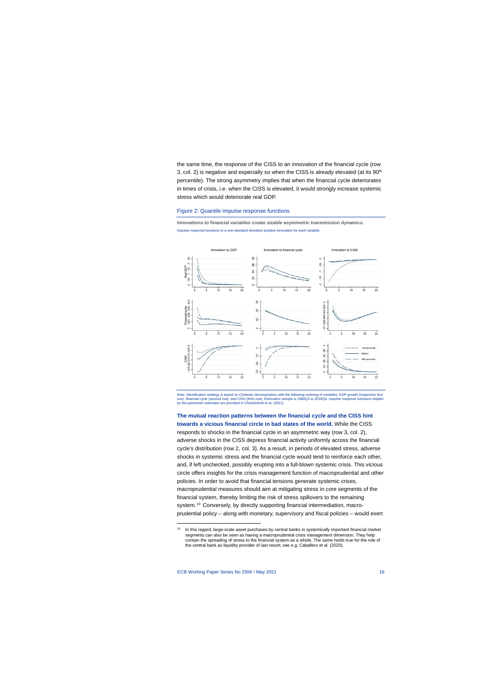the same time, the response of the CISS to an innovation of the financial cycle (row 3, col. 2) is negative and especially so when the CISS is already elevated (at its  $90<sup>th</sup>$ percentile). The strong asymmetry implies that when the financial cycle deteriorates in times of crisis, i.e. when the CISS is elevated, it would strongly increase systemic stress which would deteriorate real GDP.

#### Figure 2: Quantile impulse response functions

**Innovations to financial variables create sizable asymmetric transmission dynamics.** Impulse response functions to a one-standard deviation positive innovation for each variable.

<span id="page-16-0"></span>

Note: Identification strategy is based on Cholesky decomposition with the following ordering of variables: GDP growth (respective first row), financial cycle (second row), and CISS (third row). Estimation sample is 1988Q3 to 2018Q4. Impulse response functions implied by the parameter estimates are provided in Chavleishvili et al. (2021).

**The mutual reaction patterns between the financial cycle and the CISS hint towards a vicious financial circle in bad states of the world.** While the CISS responds to shocks in the financial cycle in an asymmetric way (row 3, col. 2), adverse shocks in the CISS depress financial activity uniformly across the financial cycle's distribution (row 2, col. 3). As a result, in periods of elevated stress, adverse shocks in systemic stress and the financial cycle would tend to reinforce each other, and, if left unchecked, possibly erupting into a full-blown systemic crisis. This vicious circle offers insights for the crisis management function of macroprudential and other policies. In order to avoid that financial tensions generate systemic crises, macroprudential measures should aim at mitigating stress in core segments of the financial system, thereby limiting the risk of stress spillovers to the remaining system.<sup>[10](#page-16-1)</sup> Conversely, by directly supporting financial intermediation, macroprudential policy – along with monetary, supervisory and fiscal policies – would exert

<span id="page-16-2"></span><span id="page-16-1"></span>In this regard, large-scale asset purchases by central banks in systemically important financial market segments can also be seen as having a macroprudential crisis management dimension. They help contain the spreading of stress to the financial system as a whole. The same holds true for the role of the central bank as liquidity provider of last resort; see e.g. Caballero et al. (2020).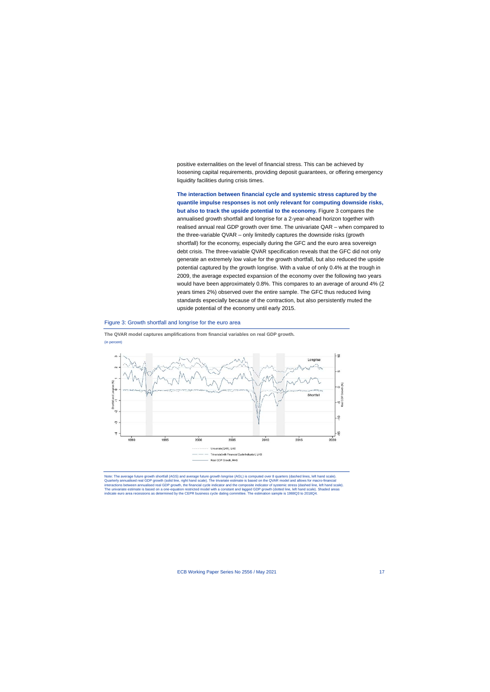positive externalities on the level of financial stress. This can be achieved by loosening capital requirements, providing deposit guarantees, or offering emergency liquidity facilities during crisis times.

**The interaction between financial cycle and systemic stress captured by the quantile impulse responses is not only relevant for computing downside risks, but also to track the upside potential to the economy.** [Figure 3](#page-16-2) compares the annualised growth shortfall and longrise for a 2-year-ahead horizon together with realised annual real GDP growth over time. The univariate QAR – when compared to the three-variable QVAR – only limitedly captures the downside risks (growth shortfall) for the economy, especially during the GFC and the euro area sovereign debt crisis. The three-variable QVAR specification reveals that the GFC did not only generate an extremely low value for the growth shortfall, but also reduced the upside potential captured by the growth longrise. With a value of only 0.4% at the trough in 2009, the average expected expansion of the economy over the following two years would have been approximately 0.8%. This compares to an average of around 4% (2 years times 2%) observed over the entire sample. The GFC thus reduced living standards especially because of the contraction, but also persistently muted the upside potential of the economy until early 2015.

#### Figure 3: Growth shortfall and longrise for the euro area



**The QVAR model captures amplifications from financial variables on real GDP growth.** (in percent)

Note: The average future growth shortfall (AGS) and average future growth longrise (AGL) is computed over 8 quarters (dashed lines, left hand scale). Quarterly annualised real GDP growth (solid line, right hand scale). The trivariate estimate is based on the QVAR model and allows for macro-financial interactions between annualised real GDP growth, the financial cycle indicator and the composite indicator of systemic stress (dashed line, left hand scale). The univariate estimate is based on a one-equation restricted model with a constant and lagged GDP growth (dotted line, left hand scale). Shaded areas indicate euro area recessions as determined by the CEPR business cycle dating committee. The estimation sample is 1988Q3 to 2018Q4.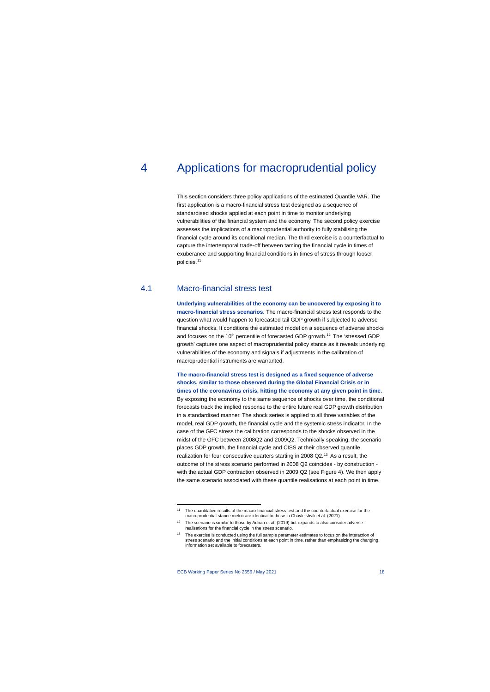# 4 Applications for macroprudential policy

This section considers three policy applications of the estimated Quantile VAR. The first application is a macro-financial stress test designed as a sequence of standardised shocks applied at each point in time to monitor underlying vulnerabilities of the financial system and the economy. The second policy exercise assesses the implications of a macroprudential authority to fully stabilising the financial cycle around its conditional median. The third exercise is a counterfactual to capture the intertemporal trade-off between taming the financial cycle in times of exuberance and supporting financial conditions in times of stress through looser policies.[11](#page-18-0) 

# 4.1 Macro-financial stress test

**Underlying vulnerabilities of the economy can be uncovered by exposing it to macro-financial stress scenarios.** The macro-financial stress test responds to the question what would happen to forecasted tail GDP growth if subjected to adverse financial shocks. It conditions the estimated model on a sequence of adverse shocks and focuses on the 10<sup>th</sup> percentile of forecasted GDP growth.<sup>[12](#page-18-1)</sup> The 'stressed GDP growth' captures one aspect of macroprudential policy stance as it reveals underlying vulnerabilities of the economy and signals if adjustments in the calibration of macroprudential instruments are warranted.

**The macro-financial stress test is designed as a fixed sequence of adverse shocks, similar to those observed during the Global Financial Crisis or in times of the coronavirus crisis, hitting the economy at any given point in time.** 

By exposing the economy to the same sequence of shocks over time, the conditional forecasts track the implied response to the entire future real GDP growth distribution in a standardised manner. The shock series is applied to all three variables of the model, real GDP growth, the financial cycle and the systemic stress indicator. In the case of the GFC stress the calibration corresponds to the shocks observed in the midst of the GFC between 2008Q2 and 2009Q2. Technically speaking, the scenario places GDP growth, the financial cycle and CISS at their observed quantile realization for four consecutive quarters starting in 2008 Q2.<sup>[13](#page-18-2)</sup> As a result, the outcome of the stress scenario performed in 2008 Q2 coincides - by construction with the actual GDP contraction observed in 2009 Q2 (see [Figure 4\)](#page-19-0). We then apply the same scenario associated with these quantile realisations at each point in time.

<sup>&</sup>lt;sup>11</sup> The quantitative results of the macro-financial stress test and the counterfactual exercise for the macroprudential stance metric are identical to those in Chavleishvili et al. (2021).

The scenario is similar to those by Adrian et al. (2019) but expands to also consider adverse realisations for the financial cycle in the stress scenario.

<span id="page-18-2"></span><span id="page-18-1"></span><span id="page-18-0"></span><sup>&</sup>lt;sup>13</sup> The exercise is conducted using the full sample parameter estimates to focus on the interaction of stress scenario and the initial conditions at each point in time, rather than emphasizing the changing information set available to forecasters.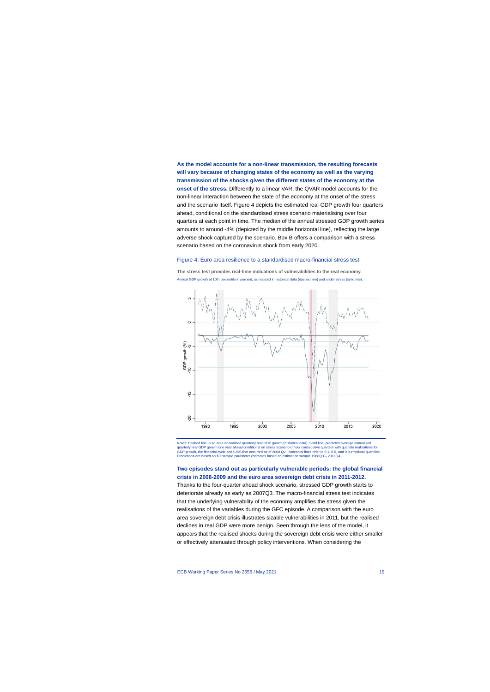**As the model accounts for a non-linear transmission, the resulting forecasts will vary because of changing states of the economy as well as the varying transmission of the shocks given the different states of the economy at the onset of the stress.** Differently to a linear VAR, the QVAR model accounts for the non-linear interaction between the state of the economy at the onset of the stress and the scenario itself. [Figure 4](#page-19-0) depicts the estimated real GDP growth four quarters ahead, conditional on the standardised stress scenario materialising over four quarters at each point in time. The median of the annual stressed GDP growth series amounts to around -4% (depicted by the middle horizontal line), reflecting the large adverse shock captured by the scenario. Box B offers a comparison with a stress scenario based on the coronavirus shock from early 2020.

#### Figure 4: Euro area resilience to a standardised macro-financial stress test

<span id="page-19-0"></span>

**The stress test provides real-time indications of vulnerabilities to the real economy.** Annual GDP growth at 10th percentile in percent, as realised in historical data (dashed line) and under stress (solid line).

Notes: Dashed line: euro area annualised quarterly real GDP growth (historical data). Solid line: predicted average annualised quarterly real GDP growth one year ahead conditional on stress scenario of four consecutive quarters with quantile realizations for<br>GDP growth, the financial cycle and CISS that occurred as of 2008 Q2. Horizontal lines ref Predictions are based on full sample parameter estimates based on estimation sample 1988Q3 – 2018Q4.

**Two episodes stand out as particularly vulnerable periods: the global financial crisis in 2008-2009 and the euro area sovereign debt crisis in 2011-2012.** Thanks to the four-quarter ahead shock scenario, stressed GDP growth starts to deteriorate already as early as 2007Q3. The macro-financial stress test indicates that the underlying vulnerability of the economy amplifies the stress given the realisations of the variables during the GFC episode. A comparison with the euro area sovereign debt crisis illustrates sizable vulnerabilities in 2011, but the realised declines in real GDP were more benign. Seen through the lens of the model, it appears that the realised shocks during the sovereign debt crisis were either smaller

or effectively attenuated through policy interventions. When considering the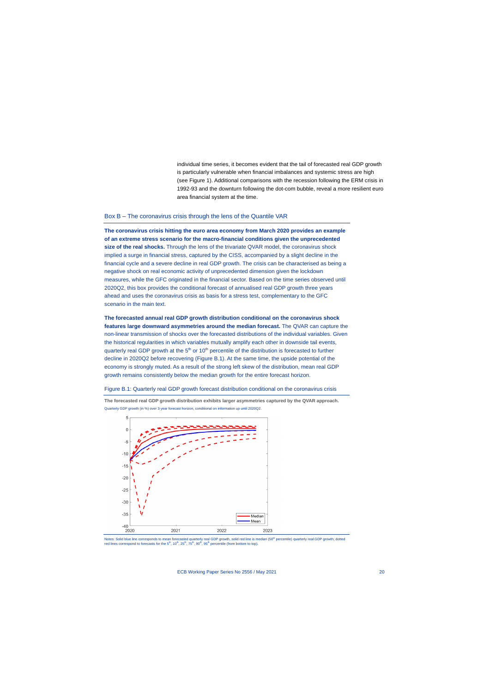individual time series, it becomes evident that the tail of forecasted real GDP growth is particularly vulnerable when financial imbalances and systemic stress are high (see [Figure 1\)](#page-14-0). Additional comparisons with the recession following the ERM crisis in 1992-93 and the downturn following the dot-com bubble, reveal a more resilient euro area financial system at the time.

#### Box B – The coronavirus crisis through the lens of the Quantile VAR

**The coronavirus crisis hitting the euro area economy from March 2020 provides an example of an extreme stress scenario for the macro-financial conditions given the unprecedented size of the real shocks.** Through the lens of the trivariate QVAR model, the coronavirus shock implied a surge in financial stress, captured by the CISS, accompanied by a slight decline in the financial cycle and a severe decline in real GDP growth. The crisis can be characterised as being a negative shock on real economic activity of unprecedented dimension given the lockdown measures, while the GFC originated in the financial sector. Based on the time series observed until 2020Q2, this box provides the conditional forecast of annualised real GDP growth three years ahead and uses the coronavirus crisis as basis for a stress test, complementary to the GFC scenario in the main text.

**The forecasted annual real GDP growth distribution conditional on the coronavirus shock features large downward asymmetries around the median forecast.** The QVAR can capture the non-linear transmission of shocks over the forecasted distributions of the individual variables. Given the historical regularities in which variables mutually amplify each other in downside tail events, quarterly real GDP growth at the  $5<sup>th</sup>$  or 10<sup>th</sup> percentile of the distribution is forecasted to further decline in 2020Q2 before recovering (Figure B.1). At the same time, the upside potential of the economy is strongly muted. As a result of the strong left skew of the distribution, mean real GDP growth remains consistently below the median growth for the entire forecast horizon.

#### Figure B.1: Quarterly real GDP growth forecast distribution conditional on the coronavirus crisis

**The forecasted real GDP growth distribution exhibits larger asymmetries captured by the QVAR approach.** Quarterly GDP growth (in %) over 3-year forecast horizon, conditional on information up until 2020Q2.



Notes: Solid blue line corresponds to mean forecasted quarterly real GDP growth, solid red line is median (50<sup>th</sup> percentile) quarterly real GDP growth; dotted red lines correspond to forecasts for the 5<sup>th</sup>, 10<sup>th</sup>, 25<sup>th</sup>, 75<sup>th</sup>, 90<sup>th</sup>, 95<sup>th</sup> percentile (from bottom to top).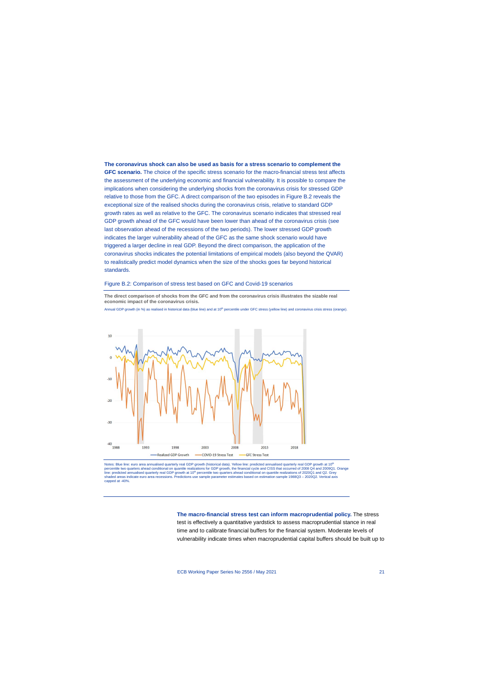**The coronavirus shock can also be used as basis for a stress scenario to complement the GFC scenario.** The choice of the specific stress scenario for the macro-financial stress test affects the assessment of the underlying economic and financial vulnerability. It is possible to compare the implications when considering the underlying shocks from the coronavirus crisis for stressed GDP relative to those from the GFC. A direct comparison of the two episodes in Figure B.2 reveals the exceptional size of the realised shocks during the coronavirus crisis, relative to standard GDP growth rates as well as relative to the GFC. The coronavirus scenario indicates that stressed real GDP growth ahead of the GFC would have been lower than ahead of the coronavirus crisis (see last observation ahead of the recessions of the two periods). The lower stressed GDP growth indicates the larger vulnerability ahead of the GFC as the same shock scenario would have triggered a larger decline in real GDP. Beyond the direct comparison, the application of the coronavirus shocks indicates the potential limitations of empirical models (also beyond the QVAR) to realistically predict model dynamics when the size of the shocks goes far beyond historical standards.

#### Figure B.2: Comparison of stress test based on GFC and Covid-19 scenarios

**The direct comparison of shocks from the GFC and from the coronavirus crisis illustrates the sizable real economic impact of the coronavirus crisis.**

Annual GDP growth (in %) as realised in historical data (blue line) and at  $10^{\text{th}}$  percentile under GFC stress (yellow line) and coronavirus crisis stress (orange).



Notes: Blue line: euro area annualised quarterly real GDP growth (historical data). Yellow line: predicted annualised quarterly real GDP growth at 10<sup>t</sup> percentile two quarters ahead conditional on quantile realizations for GDP growth, the financial cycle and CISS that occurred of 2008 Q4 and 2009Q1. Orange line: predicted annualised quarterly real GDP growth at 10<sup>th</sup> percentile two quarters ahead conditional on quantile realizations of 2020Q1 and Q2. Grey<br>shaded areas indicate euro area recessions. Predictions use sample pa capped at -40%.

> **The macro-financial stress test can inform macroprudential policy.** The stress test is effectively a quantitative yardstick to assess macroprudential stance in real time and to calibrate financial buffers for the financial system. Moderate levels of vulnerability indicate times when macroprudential capital buffers should be built up to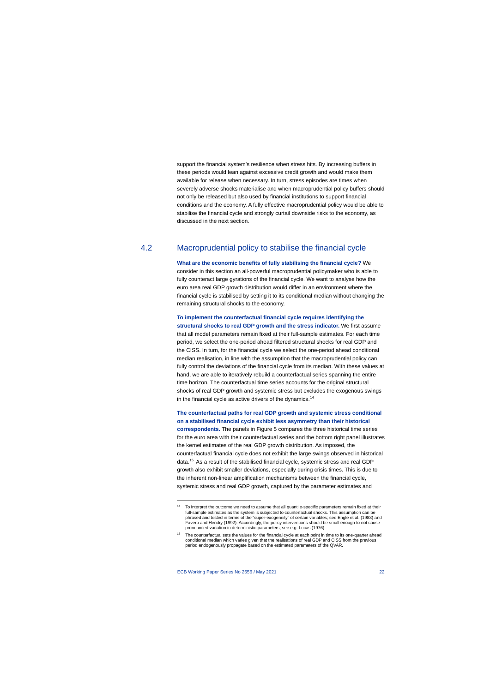support the financial system's resilience when stress hits. By increasing buffers in these periods would lean against excessive credit growth and would make them available for release when necessary. In turn, stress episodes are times when severely adverse shocks materialise and when macroprudential policy buffers should not only be released but also used by financial institutions to support financial conditions and the economy. A fully effective macroprudential policy would be able to stabilise the financial cycle and strongly curtail downside risks to the economy, as discussed in the next section.

# 4.2 Macroprudential policy to stabilise the financial cycle

**What are the economic benefits of fully stabilising the financial cycle?** We consider in this section an all-powerful macroprudential policymaker who is able to fully counteract large gyrations of the financial cycle. We want to analyse how the euro area real GDP growth distribution would differ in an environment where the financial cycle is stabilised by setting it to its conditional median without changing the remaining structural shocks to the economy.

**To implement the counterfactual financial cycle requires identifying the structural shocks to real GDP growth and the stress indicator.** We first assume that all model parameters remain fixed at their full-sample estimates. For each time period, we select the one-period ahead filtered structural shocks for real GDP and the CISS. In turn, for the financial cycle we select the one-period ahead conditional median realisation, in line with the assumption that the macroprudential policy can fully control the deviations of the financial cycle from its median. With these values at hand, we are able to iteratively rebuild a counterfactual series spanning the entire time horizon. The counterfactual time series accounts for the original structural shocks of real GDP growth and systemic stress but excludes the exogenous swings in the financial cycle as active drivers of the dynamics.<sup>[14](#page-22-0)</sup>

**The counterfactual paths for real GDP growth and systemic stress conditional on a stabilised financial cycle exhibit less asymmetry than their historical correspondents.** The panels i[n Figure 5](#page-23-0) compares the three historical time series for the euro area with their counterfactual series and the bottom right panel illustrates the kernel estimates of the real GDP growth distribution. As imposed, the counterfactual financial cycle does not exhibit the large swings observed in historical data.[15](#page-22-1) As a result of the stabilised financial cycle, systemic stress and real GDP growth also exhibit smaller deviations, especially during crisis times. This is due to the inherent non-linear amplification mechanisms between the financial cycle, systemic stress and real GDP growth, captured by the parameter estimates and

<sup>&</sup>lt;sup>14</sup> To interpret the outcome we need to assume that all quantile-specific parameters remain fixed at their full-sample estimates as the system is subjected to counterfactual shocks. This assumption can be phrased and tested in terms of the "super-exogeneity" of certain variables; see Engle et al. (1983) and Favero and Hendry (1992). Accordingly, the policy interventions should be small enough to not cause pronounced variation in deterministic parameters; see e.g. Lucas (1976).

<span id="page-22-1"></span><span id="page-22-0"></span><sup>&</sup>lt;sup>15</sup> The counterfactual sets the values for the financial cycle at each point in time to its one-quarter ahead conditional median which varies given that the realisations of real GDP and CISS from the previous period endogenously propagate based on the estimated parameters of the QVAR.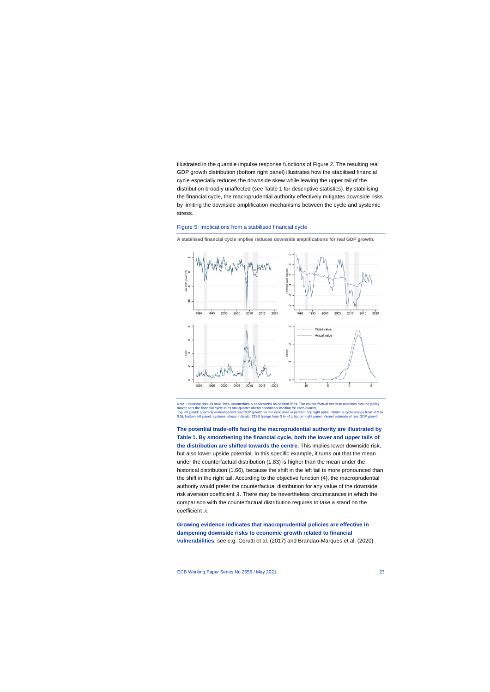illustrated in the quantile impulse response functions o[f Figure 2.](#page-16-0) The resulting real GDP growth distribution (bottom right panel) illustrates how the stabilised financial cycle especially reduces the downside skew while leaving the upper tail of the distribution broadly unaffected (see [Table 1](#page-24-0) for descriptive statistics). By stabilising the financial cycle, the macroprudential authority effectively mitigates downside risks by limiting the downside amplification mechanisms between the cycle and systemic stress.

#### Figure 5: Implications from a stabilised financial cycle



**A stabilised financial cycle implies reduces downside amplifications for real GDP growth.** 

<span id="page-23-0"></span>Note: Historical data as solid lines, counterfactual realizations as dashed lines. The counterfactual exercise assumes that the policy maker sets the financial cycle to its one-quarter ahead conditional median for each quarter. Top left panel: quarterly annualiseised real GDP growth for the euro area in percent, top right panel: financial cycle (range from -0.5 to<br>0.5), bottom left panel: systemic stress indicator CISS (range from 0 to +1), botto

**The potential trade-offs facing the macroprudential authority are illustrated by Table 1. By smoothening the financial cycle, both the lower and upper tails of the distribution are shifted towards the centre.** This implies lower downside risk, but also lower upside potential. In this specific example, it turns out that the mean under the counterfactual distribution (1.83) is higher than the mean under the historical distribution (1.66), because the shift in the left tail is more pronounced than the shift in the right tail. According to the objective function (4), the macroprudential authority would prefer the counterfactual distribution for any value of the downside risk aversion coefficient  $\lambda$ . There may be nevertheless circumstances in which the comparison with the counterfactual distribution requires to take a stand on the coefficient  $\lambda$ .

**Growing evidence indicates that macroprudential policies are effective in dampening downside risks to economic growth related to financial vulnerabilities**, see e.g. Cerutti et al. (2017) and Brandao-Marques et al. (2020).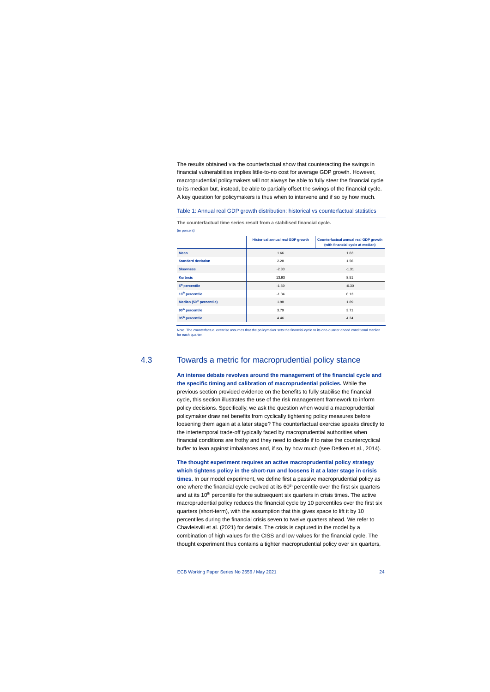The results obtained via the counterfactual show that counteracting the swings in financial vulnerabilities implies little-to-no cost for average GDP growth. However, macroprudential policymakers will not always be able to fully steer the financial cycle to its median but, instead, be able to partially offset the swings of the financial cycle. A key question for policymakers is thus when to intervene and if so by how much.

#### Table 1: Annual real GDP growth distribution: historical vs counterfactual statistics

**The counterfactual time series result from a stabilised financial cycle.** (in percent)

|                                      | <b>Historical annual real GDP growth</b> | Counterfactual annual real GDP growth<br>(with financial cycle at median) |
|--------------------------------------|------------------------------------------|---------------------------------------------------------------------------|
| <b>Mean</b>                          | 1.66                                     | 1.83                                                                      |
| <b>Standard deviation</b>            | 2.28                                     | 1.56                                                                      |
| <b>Skewness</b>                      | $-2.33$                                  | $-1.31$                                                                   |
| <b>Kurtosis</b>                      | 13.93                                    | 8.51                                                                      |
| 5 <sup>th</sup> percentile           | $-1.59$                                  | $-0.30$                                                                   |
| 10 <sup>th</sup> percentile          | $-1.04$                                  | 0.13                                                                      |
| Median (50 <sup>th</sup> percentile) | 1.98                                     | 1.89                                                                      |
| 90 <sup>th</sup> percentile          | 3.79                                     | 3.71                                                                      |
| 95 <sup>th</sup> percentile          | 4.46                                     | 4.24                                                                      |

Note: The counterfactual exercise assumes that the policymaker sets the financial cycle to its one-quarter ahead conditional median for each quarter

# <span id="page-24-0"></span>4.3 Towards a metric for macroprudential policy stance

**An intense debate revolves around the management of the financial cycle and the specific timing and calibration of macroprudential policies.** While the previous section provided evidence on the benefits to fully stabilise the financial cycle, this section illustrates the use of the risk management framework to inform policy decisions. Specifically, we ask the question when would a macroprudential policymaker draw net benefits from cyclically tightening policy measures before loosening them again at a later stage? The counterfactual exercise speaks directly to the intertemporal trade-off typically faced by macroprudential authorities when financial conditions are frothy and they need to decide if to raise the countercyclical buffer to lean against imbalances and, if so, by how much (see Detken et al., 2014).

## **The thought experiment requires an active macroprudential policy strategy which tightens policy in the short-run and loosens it at a later stage in crisis times.** In our model experiment, we define first a passive macroprudential policy as

one where the financial cycle evolved at its  $60<sup>th</sup>$  percentile over the first six quarters and at its  $10<sup>th</sup>$  percentile for the subsequent six quarters in crisis times. The active macroprudential policy reduces the financial cycle by 10 percentiles over the first six quarters (short-term), with the assumption that this gives space to lift it by 10 percentiles during the financial crisis seven to twelve quarters ahead. We refer to Chavleisvili et al. (2021) for details. The crisis is captured in the model by a combination of high values for the CISS and low values for the financial cycle. The thought experiment thus contains a tighter macroprudential policy over six quarters,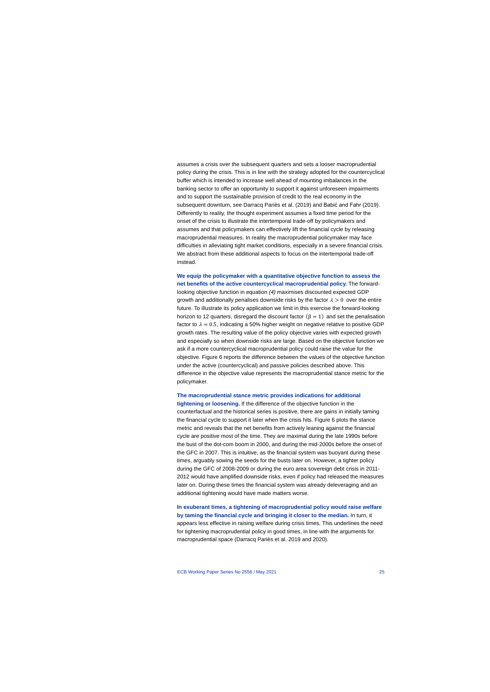assumes a crisis over the subsequent quarters and sets a looser macroprudential policy during the crisis. This is in line with the strategy adopted for the countercyclical buffer which is intended to increase well ahead of mounting imbalances in the banking sector to offer an opportunity to support it against unforeseen impairments and to support the sustainable provision of credit to the real economy in the subsequent downturn, see Darracq Pariès et al. (2019) and Babić and Fahr (2019). Differently to reality, the thought experiment assumes a fixed time period for the onset of the crisis to illustrate the intertemporal trade-off by policymakers and assumes and that policymakers can effectively lift the financial cycle by releasing macroprudential measures. In reality the macroprudential policymaker may face difficulties in alleviating tight market conditions, especially in a severe financial crisis. We abstract from these additional aspects to focus on the intertemporal trade-off instead.

**We equip the policymaker with a quantitative objective function to assess the net benefits of the active countercyclical macroprudential policy.** The forwardlooking objective function in equation *(4)* maximises discounted expected GDP growth and additionally penalises downside risks by the factor  $\lambda > 0$  over the entire future. To illustrate its policy application we limit in this exercise the forward-looking horizon to 12 quarters, disregard the discount factor ( $\beta = 1$ ) and set the penalisation factor to  $\lambda = 0.5$ , indicating a 50% higher weight on negative relative to positive GDP growth rates. The resulting value of the policy objective varies with expected growth and especially so when downside risks are large. Based on the objective function we ask if a more countercyclical macroprudential policy could raise the value for the objective. Figure 6 reports the difference between the values of the objective function under the active (countercyclical) and passive policies described above. This difference in the objective value represents the macroprudential stance metric for the policymaker.

**The macroprudential stance metric provides indications for additional** 

**tightening or loosening.** If the difference of the objective function in the counterfactual and the historical series is positive, there are gains in initially taming the financial cycle to support it later when the crisis hits[. Figure 6](#page-26-0) plots the stance metric and reveals that the net benefits from actively leaning against the financial cycle are positive most of the time. They are maximal during the late 1990s before the bust of the dot-com boom in 2000, and during the mid-2000s before the onset of the GFC in 2007. This is intuitive, as the financial system was buoyant during these times, arguably sowing the seeds for the busts later on. However, a tighter policy during the GFC of 2008-2009 or during the euro area sovereign debt crisis in 2011- 2012 would have amplified downside risks, even if policy had released the measures later on. During these times the financial system was already deleveraging and an additional tightening would have made matters worse.

**In exuberant times, a tightening of macroprudential policy would raise welfare by taming the financial cycle and bringing it closer to the median.** In turn, it appears less effective in raising welfare during crisis times. This underlines the need for tightening macroprudential policy in good times, in line with the arguments for macroprudential space (Darracq Pariès et al. 2019 and 2020).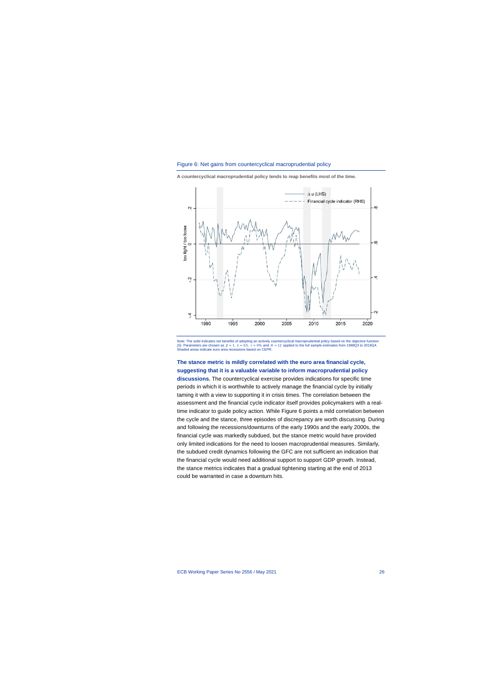



**A countercyclical macroprudential policy tends to reap benefits most of the time.**

<span id="page-26-0"></span>Note: The solid indicates net benefits of adopting an actively countercyclical macroprudential policy based on the objective function (5). Parameters are chosen as  $\beta = 1$ ,  $\lambda = 0.5$ ,  $\tau = 0\%$  and  $H = 12$  applied to the full sample estimates from 1988Q3 to 2018Q4. Shaded areas indicate euro area recessions based on CEPR.

### **The stance metric is mildly correlated with the euro area financial cycle, suggesting that it is a valuable variable to inform macroprudential policy**

**discussions.** The countercyclical exercise provides indications for specific time periods in which it is worthwhile to actively manage the financial cycle by initially taming it with a view to supporting it in crisis times. The correlation between the assessment and the financial cycle indicator itself provides policymakers with a realtime indicator to guide policy action. Whil[e Figure 6](#page-26-0) points a mild correlation between the cycle and the stance, three episodes of discrepancy are worth discussing. During and following the recessions/downturns of the early 1990s and the early 2000s, the financial cycle was markedly subdued, but the stance metric would have provided only limited indications for the need to loosen macroprudential measures. Similarly, the subdued credit dynamics following the GFC are not sufficient an indication that the financial cycle would need additional support to support GDP growth. Instead, the stance metrics indicates that a gradual tightening starting at the end of 2013 could be warranted in case a downturn hits.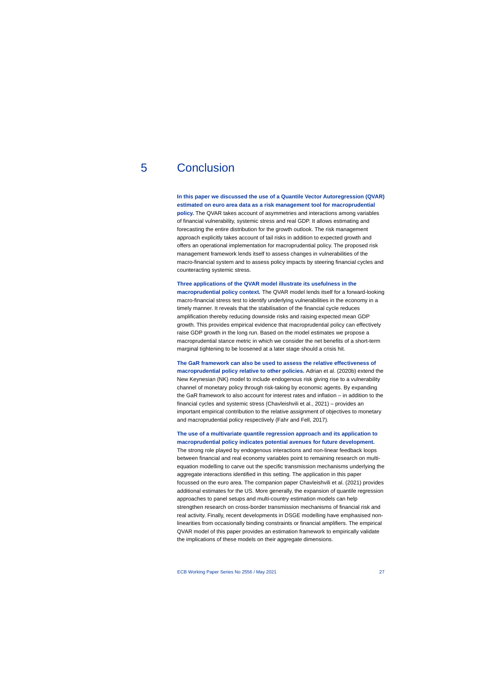# 5 Conclusion

**In this paper we discussed the use of a Quantile Vector Autoregression (QVAR) estimated on euro area data as a risk management tool for macroprudential policy.** The QVAR takes account of asymmetries and interactions among variables of financial vulnerability, systemic stress and real GDP. It allows estimating and forecasting the entire distribution for the growth outlook. The risk management approach explicitly takes account of tail risks in addition to expected growth and offers an operational implementation for macroprudential policy. The proposed risk management framework lends itself to assess changes in vulnerabilities of the macro-financial system and to assess policy impacts by steering financial cycles and counteracting systemic stress.

#### **Three applications of the QVAR model illustrate its usefulness in the**

**macroprudential policy context.** The QVAR model lends itself for a forward-looking macro-financial stress test to identify underlying vulnerabilities in the economy in a timely manner. It reveals that the stabilisation of the financial cycle reduces amplification thereby reducing downside risks and raising expected mean GDP growth. This provides empirical evidence that macroprudential policy can effectively raise GDP growth in the long run. Based on the model estimates we propose a macroprudential stance metric in which we consider the net benefits of a short-term marginal tightening to be loosened at a later stage should a crisis hit.

**The GaR framework can also be used to assess the relative effectiveness of macroprudential policy relative to other policies.** Adrian et al. (2020b) extend the New Keynesian (NK) model to include endogenous risk giving rise to a vulnerability channel of monetary policy through risk-taking by economic agents. By expanding the GaR framework to also account for interest rates and inflation – in addition to the financial cycles and systemic stress (Chavleishvili et al., 2021) – provides an important empirical contribution to the relative assignment of objectives to monetary and macroprudential policy respectively (Fahr and Fell, 2017).

### **The use of a multivariate quantile regression approach and its application to macroprudential policy indicates potential avenues for future development.**

The strong role played by endogenous interactions and non-linear feedback loops between financial and real economy variables point to remaining research on multiequation modelling to carve out the specific transmission mechanisms underlying the aggregate interactions identified in this setting. The application in this paper focussed on the euro area. The companion paper Chavleishvili et al. (2021) provides additional estimates for the US. More generally, the expansion of quantile regression approaches to panel setups and multi-country estimation models can help strengthen research on cross-border transmission mechanisms of financial risk and real activity. Finally, recent developments in DSGE modelling have emphasised nonlinearities from occasionally binding constraints or financial amplifiers. The empirical QVAR model of this paper provides an estimation framework to empirically validate the implications of these models on their aggregate dimensions.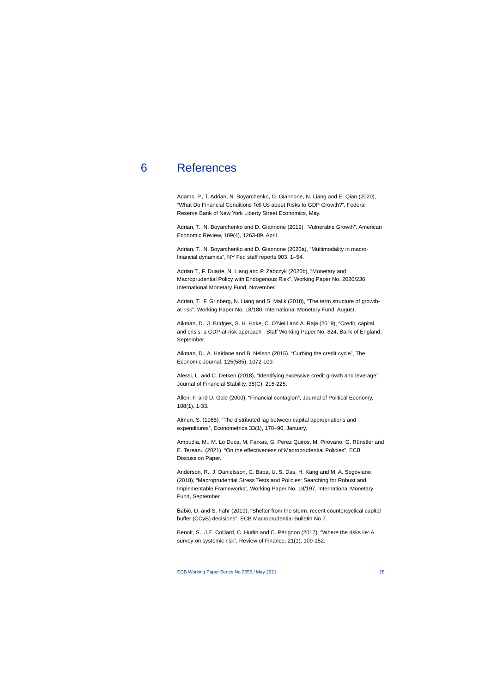# 6 References

Adams, P., T. Adrian, N. Boyarchenko, D. Giannone, N. Liang and E. Qian (2020), "What Do Financial Conditions Tell Us about Risks to GDP Growth?", Federal Reserve Bank of New York Liberty Street Economics, May.

Adrian, T., N. Boyarchenko and D. Giannone (2019). "Vulnerable Growth", American Economic Review, 109(4), 1263-89, April.

Adrian, T., N. Boyarchenko and D. Giannone (2020a), "Multimodality in macrofinancial dynamics", NY Fed staff reports 903, 1–54.

Adrian T., F. Duarte, N. Liang and P. Zabczyk (2020b), "Monetary and Macroprudential Policy with Endogenous Risk", Working Paper No. 2020/236, International Monetary Fund, November.

Adrian, T., F. Grinberg, N. Liang and S. Malik (2018), "The term structure of growthat-risk", Working Paper No. 18/180, International Monetary Fund, August.

Aikman, D., J. Bridges, S. H. Hoke, C. O'Neill and A. Raja (2019), "Credit, capital and crisis: a GDP-at-risk approach", Staff Working Paper No. 824, Bank of England, September.

Aikman, D., A. Haldane and B. Nelson (2015), "Curbing the credit cycle", The Economic Journal, 125(585), 1072-109.

Alessi, L. and C. Detken (2018), "Identifying excessive credit growth and leverage", Journal of Financial Stability, 35(C), 215-225.

Allen, F. and D. Gale (2000), "Financial contagion", Journal of Political Economy, 108(1), 1-33.

Almon, S. (1965), "The distributed lag between capital appropriations and expenditures", Econometrica 33(1), 178–96, January.

Ampudia, M., M. Lo Duca, M. Farkas, G. Perez Quiros, M. Pirovano, G. Rünstler and E. Tereanu (2021), "On the effectiveness of Macroprudential Policies", ECB Discussion Paper.

Anderson, R., J. Danielsson, C. Baba, U. S. Das, H. Kang and M. A. Segoviano (2018), "Macroprudential Stress Tests and Policies: Searching for Robust and Implementable Frameworks", Working Paper No. 18/197, International Monetary Fund, September.

Babić, D. and S. Fahr (2019), "Shelter from the storm: recent countercyclical capital buffer (CCyB) decisions", ECB Macroprudential Bulletin No 7.

Benoit, S., J.E. Colliard, C. Hurlin and C. Pérignon (2017), "Where the risks lie: A survey on systemic risk", Review of Finance, 21(1), 109-152.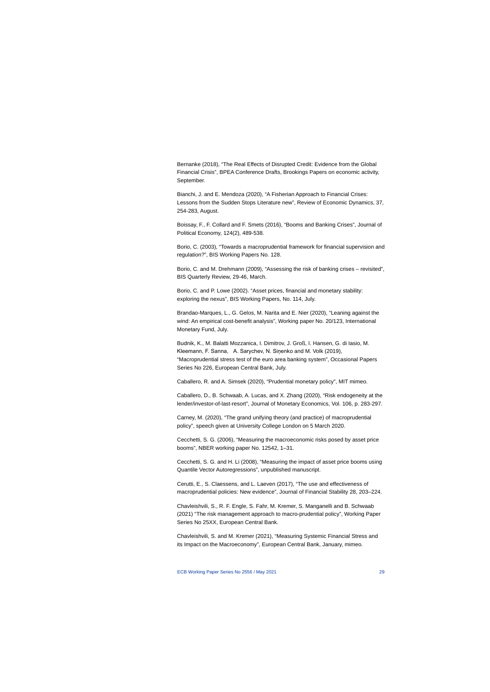Bernanke (2018), "The Real Effects of Disrupted Credit: Evidence from the Global Financial Crisis", BPEA Conference Drafts, Brookings Papers on economic activity, September.

Bianchi, J. and E. Mendoza (2020), "A Fisherian Approach to Financial Crises: Lessons from the Sudden Stops Literature new", Review of Economic Dynamics, 37, 254-283, August.

Boissay, F., F. Collard and F. Smets (2016), "Booms and Banking Crises", Journal of Political Economy, 124(2), 489-538.

Borio, C. (2003), "Towards a macroprudential framework for financial supervision and regulation?", BIS Working Papers No. 128.

Borio, C. and M. Drehmann (2009), "Assessing the risk of banking crises – revisited", BIS Quarterly Review, 29-46, March.

Borio, C. and P. Lowe (2002). "Asset prices, financial and monetary stability: exploring the nexus", BIS Working Papers, No. 114, July.

Brandao-Marques, L., G. Gelos, M. Narita and E. Nier (2020), "Leaning against the wind: An empirical cost-benefit analysis", Working paper No. 20/123, International Monetary Fund, July.

Budnik, K., M. Balatti Mozzanica, I. Dimitrov, J. Groß, I. Hansen, G. di Iasio, M. Kleemann, F. Sanna, A. Sarychev, N. Siņenko and M. Volk (2019), "Macroprudential stress test of the euro area banking system", Occasional Papers Series No 226, European Central Bank, July.

Caballero, R. and A. Simsek (2020), "Prudential monetary policy", MIT mimeo.

Caballero, D., B. Schwaab, A. Lucas, and X. Zhang (2020), "Risk endogeneity at the lender/investor-of-last-resort", Journal of Monetary Economics, Vol. 106, p. 283-297.

Carney, M. (2020), "The grand unifying theory (and practice) of macroprudential policy", speech given at University College London on 5 March 2020.

Cecchetti, S. G. (2006), "Measuring the macroeconomic risks posed by asset price booms", NBER working paper No. 12542, 1–31.

Cecchetti, S. G. and H. Li (2008), "Measuring the impact of asset price booms using Quantile Vector Autoregressions", unpublished manuscript.

Cerutti, E., S. Claessens, and L. Laeven (2017), "The use and effectiveness of macroprudential policies: New evidence", Journal of Financial Stability 28, 203–224.

Chavleishvili, S., R. F. Engle, S. Fahr, M. Kremer, S. Manganelli and B. Schwaab (2021) "The risk management approach to macro-prudential policy", Working Paper Series No 25XX, European Central Bank.

Chavleishvili, S. and M. Kremer (2021), "Measuring Systemic Financial Stress and its Impact on the Macroeconomy", European Central Bank, January, mimeo.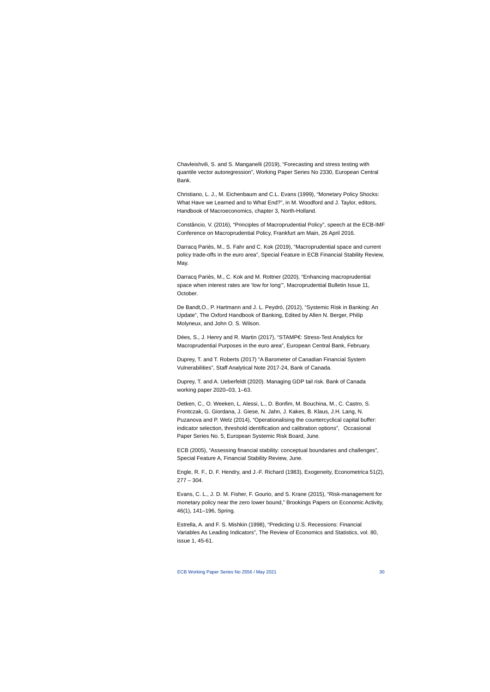Chavleishvili, S. and S. Manganelli (2019), "Forecasting and stress testing with quantile vector autoregression", Working Paper Series No 2330, European Central Bank.

Christiano, L. J., M. Eichenbaum and C.L. Evans (1999), "Monetary Policy Shocks: What Have we Learned and to What End?", in M. Woodford and J. Taylor, editors, Handbook of Macroeconomics, chapter 3, North-Holland.

Constâncio, V. (2016), "Principles of Macroprudential Policy", speech at the ECB-IMF Conference on Macroprudential Policy, Frankfurt am Main, 26 April 2016.

Darracq Pariès, M., S. Fahr and C. Kok (2019), "Macroprudential space and current policy trade-offs in the euro area", Special Feature in ECB Financial Stability Review, May.

Darracq Pariès, M., C. Kok and M. Rottner (2020), "Enhancing macroprudential space when interest rates are 'low for long'", Macroprudential Bulletin Issue 11, October.

De Bandt,O., P. Hartmann and J. L. Peydró, (2012), "Systemic Risk in Banking: An Update", The Oxford Handbook of Banking, Edited by Allen N. Berger, Philip Molyneux, and John O. S. Wilson.

Dées, S., J. Henry and R. Martin (2017), "STAMP€: Stress-Test Analytics for Macroprudential Purposes in the euro area", European Central Bank, February.

Duprey, T. and T. Roberts (2017) "A Barometer of Canadian Financial System Vulnerabilities", Staff Analytical Note 2017-24, Bank of Canada.

Duprey, T. and A. Ueberfeldt (2020). Managing GDP tail risk. Bank of Canada working paper 2020–03, 1–63.

Detken, C., O. Weeken, L. Alessi, L., D. Bonfim, M. Bouchina, M., C. Castro, S. Frontczak, G. Giordana, J. Giese, N. Jahn, J. Kakes, B. Klaus, J.H. Lang, N. Puzanova and P. Welz (2014), "Operationalising the countercyclical capital buffer: indicator selection, threshold identification and calibration options", Occasional Paper Series No. 5, European Systemic Risk Board, June.

ECB (2005), "Assessing financial stability: conceptual boundaries and challenges", Special Feature A, Financial Stability Review, June.

Engle, R. F., D. F. Hendry, and J.-F. Richard (1983), Exogeneity, Econometrica 51(2), 277 – 304.

Evans, C. L., J. D. M. Fisher, F. Gourio, and S. Krane (2015), "Risk-management for monetary policy near the zero lower bound," Brookings Papers on Economic Activity, 46(1), 141–196, Spring.

Estrella, A. and F. S. Mishkin (1998), "Predicting U.S. Recessions: Financial Variables As Leading Indicators", The Review of Economics and Statistics, vol. 80, issue 1, 45-61.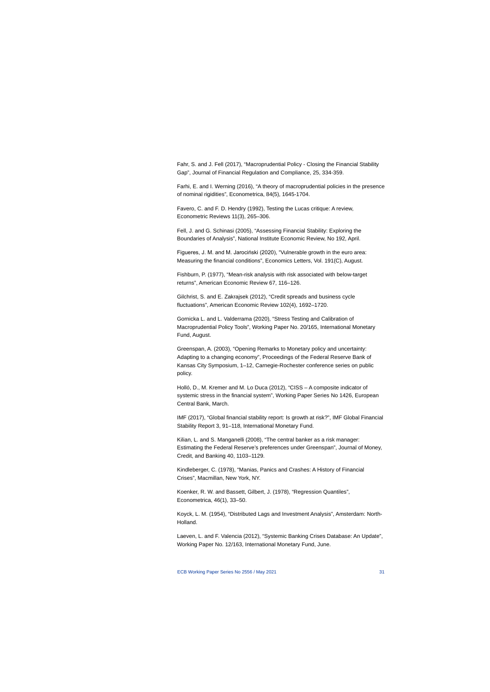Fahr, S. and J. Fell (2017), "Macroprudential Policy - Closing the Financial Stability Gap", Journal of Financial Regulation and Compliance, 25, 334-359.

Farhi, E. and I. Werning (2016), "A theory of macroprudential policies in the presence of nominal rigidities", Econometrica, 84(5), 1645-1704.

Favero, C. and F. D. Hendry (1992), Testing the Lucas critique: A review, Econometric Reviews 11(3), 265–306.

Fell, J. and G. Schinasi (2005), "Assessing Financial Stability: Exploring the Boundaries of Analysis", National Institute Economic Review, No 192, April.

Figueres, J. M. and M. Jarociński (2020), "Vulnerable growth in the euro area: Measuring the financial conditions", Economics Letters, Vol. 191(C), August.

Fishburn, P. (1977), "Mean-risk analysis with risk associated with below-target returns", American Economic Review 67, 116–126.

Gilchrist, S. and E. Zakrajsek (2012), "Credit spreads and business cycle fluctuations", American Economic Review 102(4), 1692–1720.

Gornicka L. and L. Valderrama (2020), "Stress Testing and Calibration of Macroprudential Policy Tools", Working Paper No. 20/165, International Monetary Fund, August.

Greenspan, A. (2003), "Opening Remarks to Monetary policy and uncertainty: Adapting to a changing economy", Proceedings of the Federal Reserve Bank of Kansas City Symposium, 1–12, Carnegie-Rochester conference series on public policy.

Holló, D., M. Kremer and M. Lo Duca (2012), "CISS – A composite indicator of systemic stress in the financial system", Working Paper Series No 1426, European Central Bank, March.

IMF (2017), "Global financial stability report: Is growth at risk?", IMF Global Financial Stability Report 3, 91–118, International Monetary Fund.

Kilian, L. and S. Manganelli (2008), "The central banker as a risk manager: Estimating the Federal Reserve's preferences under Greenspan", Journal of Money, Credit, and Banking 40, 1103–1129.

Kindleberger, C. (1978), "Manias, Panics and Crashes: A History of Financial Crises", Macmillan, New York, NY.

Koenker, R. W. and Bassett, Gilbert, J. (1978), "Regression Quantiles", Econometrica, 46(1), 33–50.

Koyck, L. M. (1954), "Distributed Lags and Investment Analysis", Amsterdam: North-Holland.

Laeven, L. and F. Valencia (2012), "Systemic Banking Crises Database: An Update", Working Paper No. 12/163, International Monetary Fund, June.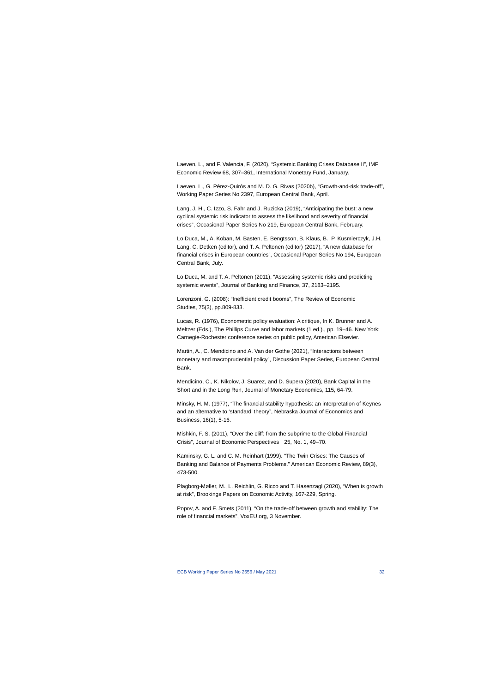Laeven, L., and F. Valencia, F. (2020), "Systemic Banking Crises Database II", IMF Economic Review 68, 307–361, International Monetary Fund, January.

Laeven, L., G. Pérez-Quirós and M. D. G. Rivas (2020b), "Growth-and-risk trade-off", Working Paper Series No 2397, European Central Bank, April.

Lang, J. H., C. Izzo, S. Fahr and J. Ruzicka (2019), "Anticipating the bust: a new cyclical systemic risk indicator to assess the likelihood and severity of financial crises", Occasional Paper Series No 219, European Central Bank, February.

Lo Duca, M., A. Koban, M. Basten, E. Bengtsson, B. Klaus, B., P. Kusmierczyk, J.H. Lang, C. Detken (editor), and T. A. Peltonen (editor) (2017), "A new database for financial crises in European countries", Occasional Paper Series No 194, European Central Bank, July.

Lo Duca, M. and T. A. Peltonen (2011), "Assessing systemic risks and predicting systemic events", Journal of Banking and Finance, 37, 2183–2195.

Lorenzoni, G. (2008): "Inefficient credit booms", The Review of Economic Studies, 75(3), pp.809-833.

Lucas, R. (1976), Econometric policy evaluation: A critique, In K. Brunner and A. Meltzer (Eds.), The Phillips Curve and labor markets (1 ed.)., pp. 19–46. New York: Carnegie-Rochester conference series on public policy, American Elsevier.

Martin, A., C. Mendicino and A. Van der Gothe (2021), "Interactions between monetary and macroprudential policy", Discussion Paper Series, European Central Bank.

Mendicino, C., K. Nikolov, J. Suarez, and D. Supera (2020), Bank Capital in the Short and in the Long Run, Journal of Monetary Economics, 115, 64-79.

Minsky, H. M. (1977), "The financial stability hypothesis: an interpretation of Keynes and an alternative to 'standard' theory", Nebraska Journal of Economics and Business, 16(1), 5-16.

Mishkin, F. S. (2011), "Over the cliff: from the subprime to the Global Financial Crisis", Journal of Economic Perspectives 25, No. 1, 49–70.

Kaminsky, G. L. and C. M. Reinhart (1999). "The Twin Crises: The Causes of Banking and Balance of Payments Problems." American Economic Review, 89(3), 473-500.

Plagborg-Møller, M., L. Reichlin, G. Ricco and T. Hasenzagl (2020), "When is growth at risk", Brookings Papers on Economic Activity, 167-229, Spring.

Popov, A. and F. Smets (2011), "On the trade-off between growth and stability: The role of financial markets", VoxEU.org, 3 November.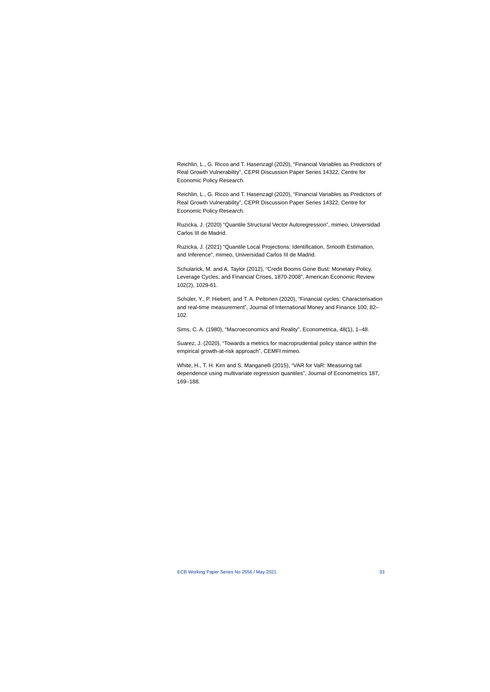Reichlin, L., G. Ricco and T. Hasenzagl (2020), "Financial Variables as Predictors of Real Growth Vulnerability", CEPR Discussion Paper Series 14322, Centre for Economic Policy Research.

Reichlin, L., G. Ricco and T. Hasenzagl (2020), "Financial Variables as Predictors of Real Growth Vulnerability", CEPR Discussion Paper Series 14322, Centre for Economic Policy Research.

Ruzicka, J. (2020) "Quantile Structural Vector Autoregression", mimeo, Universidad Carlos III de Madrid.

Ruzicka, J. (2021) "Quantile Local Projections: Identification, Smooth Estimation, and Inference", mimeo, Universidad Carlos III de Madrid.

Schularick, M. and A. Taylor (2012), "Credit Booms Gone Bust: Monetary Policy, Leverage Cycles, and Financial Crises, 1870-2008", American Economic Review 102(2), 1029-61.

Schüler, Y., P. Hiebert, and T. A. Peltonen (2020), "Financial cycles: Characterisation and real-time measurement", Journal of International Money and Finance 100, 82– 102.

Sims, C. A. (1980), "Macroeconomics and Reality", Econometrica, 48(1), 1–48.

Suarez, J. (2020), "Towards a metrics for macroprudential policy stance within the empirical growth-at-risk approach", CEMFI mimeo.

White, H., T. H. Kim and S. Manganelli (2015), "VAR for VaR: Measuring tail dependence using multivariate regression quantiles", Journal of Econometrics 187, 169–188.